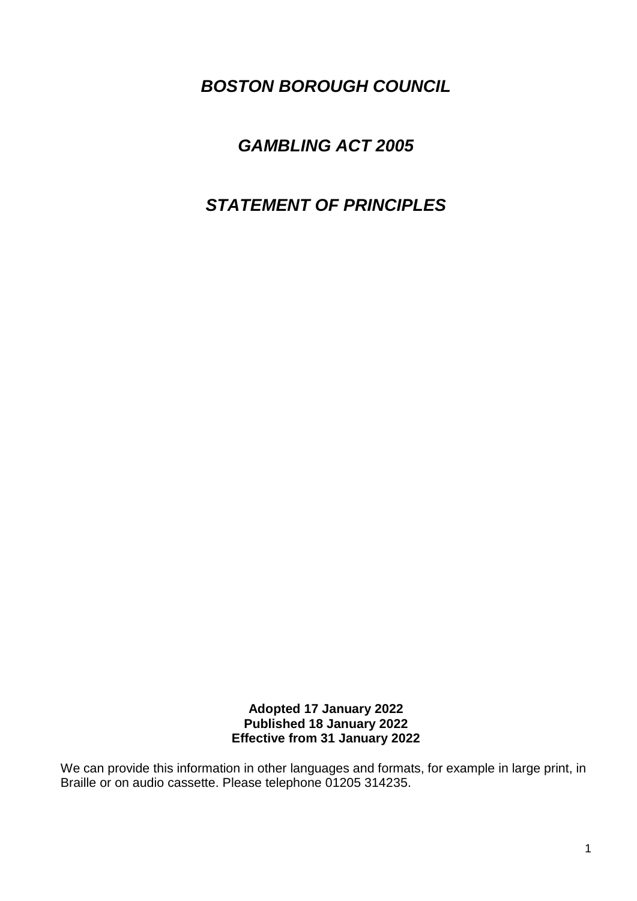*BOSTON BOROUGH COUNCIL*

# *GAMBLING ACT 2005*

# *STATEMENT OF PRINCIPLES*

**Adopted 17 January 2022 Published 18 January 2022 Effective from 31 January 2022**

We can provide this information in other languages and formats, for example in large print, in Braille or on audio cassette. Please telephone 01205 314235.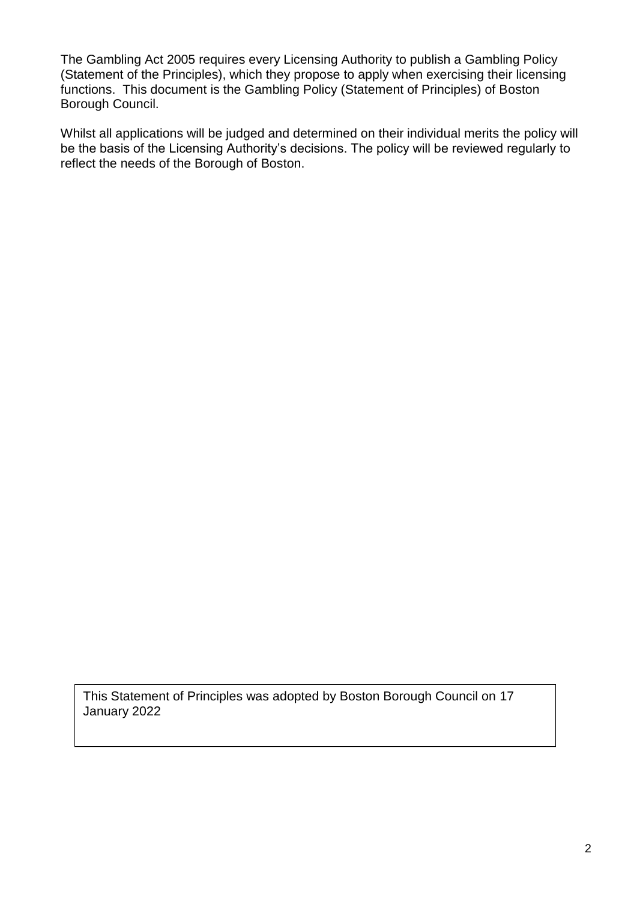The Gambling Act 2005 requires every Licensing Authority to publish a Gambling Policy (Statement of the Principles), which they propose to apply when exercising their licensing functions. This document is the Gambling Policy (Statement of Principles) of Boston Borough Council.

Whilst all applications will be judged and determined on their individual merits the policy will be the basis of the Licensing Authority's decisions. The policy will be reviewed regularly to reflect the needs of the Borough of Boston.

This Statement of Principles was adopted by Boston Borough Council on 17 January 2022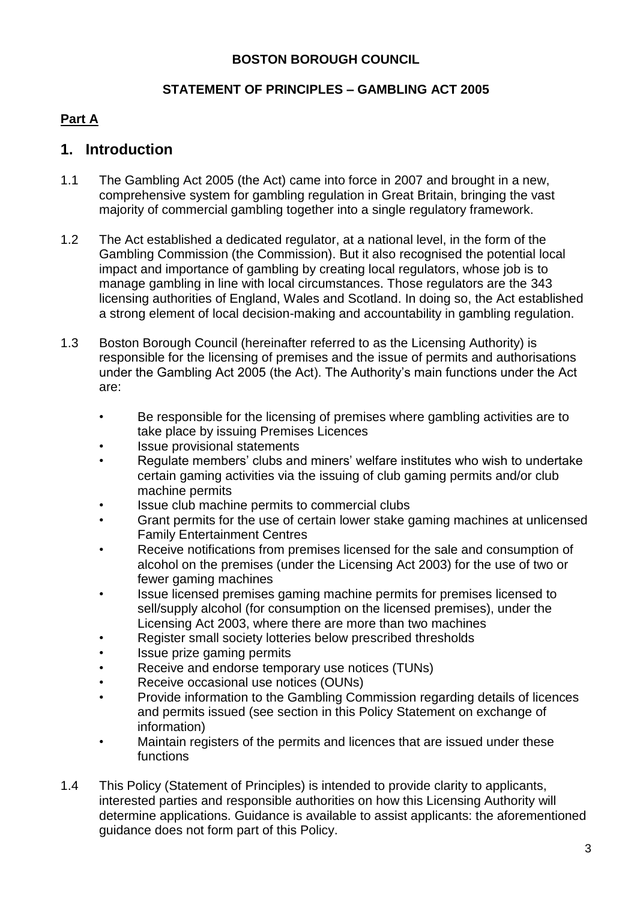#### **BOSTON BOROUGH COUNCIL**

#### **STATEMENT OF PRINCIPLES – GAMBLING ACT 2005**

#### **Part A**

#### **1. Introduction**

- 1.1 The Gambling Act 2005 (the Act) came into force in 2007 and brought in a new, comprehensive system for gambling regulation in Great Britain, bringing the vast majority of commercial gambling together into a single regulatory framework.
- 1.2 The Act established a dedicated regulator, at a national level, in the form of the Gambling Commission (the Commission). But it also recognised the potential local impact and importance of gambling by creating local regulators, whose job is to manage gambling in line with local circumstances. Those regulators are the 343 licensing authorities of England, Wales and Scotland. In doing so, the Act established a strong element of local decision-making and accountability in gambling regulation.
- 1.3 Boston Borough Council (hereinafter referred to as the Licensing Authority) is responsible for the licensing of premises and the issue of permits and authorisations under the Gambling Act 2005 (the Act). The Authority's main functions under the Act are:
	- Be responsible for the licensing of premises where gambling activities are to take place by issuing Premises Licences
	- Issue provisional statements
	- Regulate members' clubs and miners' welfare institutes who wish to undertake certain gaming activities via the issuing of club gaming permits and/or club machine permits
	- Issue club machine permits to commercial clubs
	- Grant permits for the use of certain lower stake gaming machines at unlicensed Family Entertainment Centres
	- Receive notifications from premises licensed for the sale and consumption of alcohol on the premises (under the Licensing Act 2003) for the use of two or fewer gaming machines
	- Issue licensed premises gaming machine permits for premises licensed to sell/supply alcohol (for consumption on the licensed premises), under the Licensing Act 2003, where there are more than two machines
	- Register small society lotteries below prescribed thresholds
	- Issue prize gaming permits
	- Receive and endorse temporary use notices (TUNs)
	- Receive occasional use notices (OUNs)
	- Provide information to the Gambling Commission regarding details of licences and permits issued (see section in this Policy Statement on exchange of information)
	- Maintain registers of the permits and licences that are issued under these functions
- 1.4 This Policy (Statement of Principles) is intended to provide clarity to applicants, interested parties and responsible authorities on how this Licensing Authority will determine applications. Guidance is available to assist applicants: the aforementioned guidance does not form part of this Policy.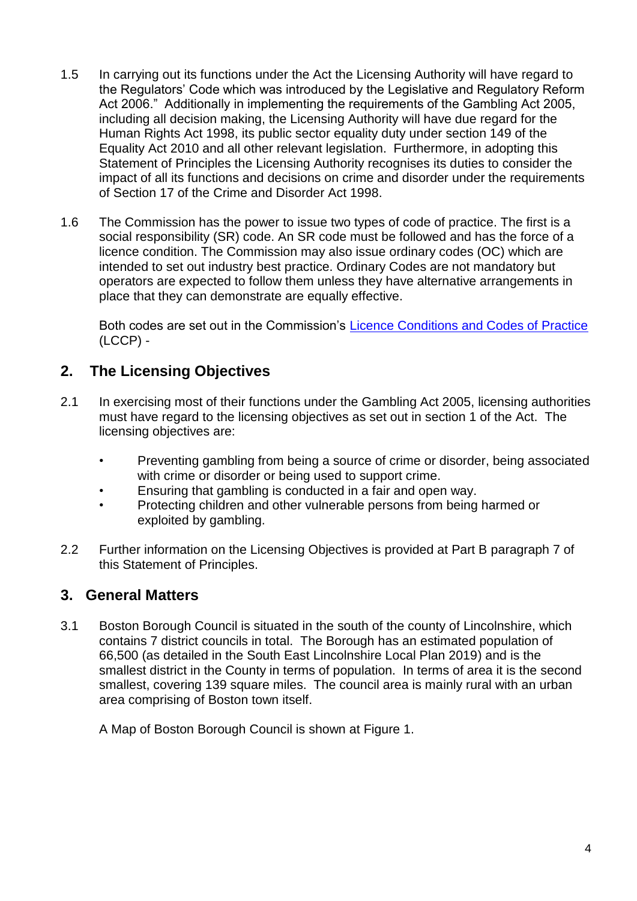- 1.5 In carrying out its functions under the Act the Licensing Authority will have regard to the Regulators' Code which was introduced by the Legislative and Regulatory Reform Act 2006." Additionally in implementing the requirements of the Gambling Act 2005, including all decision making, the Licensing Authority will have due regard for the Human Rights Act 1998, its public sector equality duty under section 149 of the Equality Act 2010 and all other relevant legislation. Furthermore, in adopting this Statement of Principles the Licensing Authority recognises its duties to consider the impact of all its functions and decisions on crime and disorder under the requirements of Section 17 of the Crime and Disorder Act 1998.
- 1.6 The Commission has the power to issue two types of code of practice. The first is a social responsibility (SR) code. An SR code must be followed and has the force of a licence condition. The Commission may also issue ordinary codes (OC) which are intended to set out industry best practice. Ordinary Codes are not mandatory but operators are expected to follow them unless they have alternative arrangements in place that they can demonstrate are equally effective.

Both codes are set out in the Commission's [Licence Conditions and Codes of Practice](http://www.gamblingcommission.gov.uk/for-gambling-businesses/Compliance/LCCP/Licence-conditions-and-codes-of-practice.aspx) (LCCP) -

## **2. The Licensing Objectives**

- 2.1 In exercising most of their functions under the Gambling Act 2005, licensing authorities must have regard to the licensing objectives as set out in section 1 of the Act. The licensing objectives are:
	- Preventing gambling from being a source of crime or disorder, being associated with crime or disorder or being used to support crime.
	- Ensuring that gambling is conducted in a fair and open way.
	- Protecting children and other vulnerable persons from being harmed or exploited by gambling.
- 2.2 Further information on the Licensing Objectives is provided at Part B paragraph 7 of this Statement of Principles.

#### **3. General Matters**

3.1 Boston Borough Council is situated in the south of the county of Lincolnshire, which contains 7 district councils in total. The Borough has an estimated population of 66,500 (as detailed in the South East Lincolnshire Local Plan 2019) and is the smallest district in the County in terms of population. In terms of area it is the second smallest, covering 139 square miles. The council area is mainly rural with an urban area comprising of Boston town itself.

A Map of Boston Borough Council is shown at Figure 1.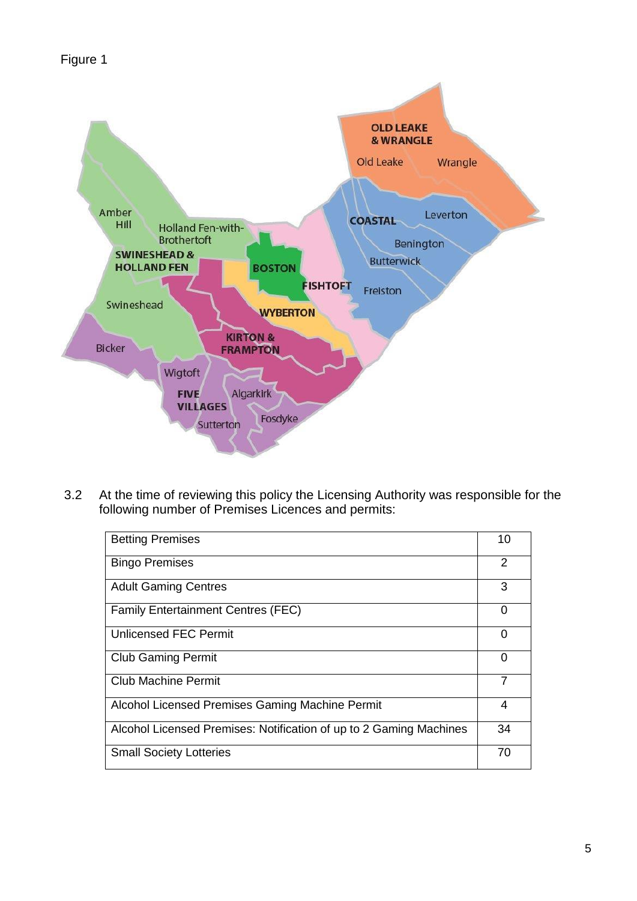

3.2 At the time of reviewing this policy the Licensing Authority was responsible for the following number of Premises Licences and permits:

| <b>Betting Premises</b>                                            | 10 |
|--------------------------------------------------------------------|----|
| <b>Bingo Premises</b>                                              | 2  |
| <b>Adult Gaming Centres</b>                                        | 3  |
| <b>Family Entertainment Centres (FEC)</b>                          | 0  |
| <b>Unlicensed FEC Permit</b>                                       | 0  |
| <b>Club Gaming Permit</b>                                          | 0  |
| <b>Club Machine Permit</b>                                         | 7  |
| Alcohol Licensed Premises Gaming Machine Permit                    | 4  |
| Alcohol Licensed Premises: Notification of up to 2 Gaming Machines | 34 |
| <b>Small Society Lotteries</b>                                     | 70 |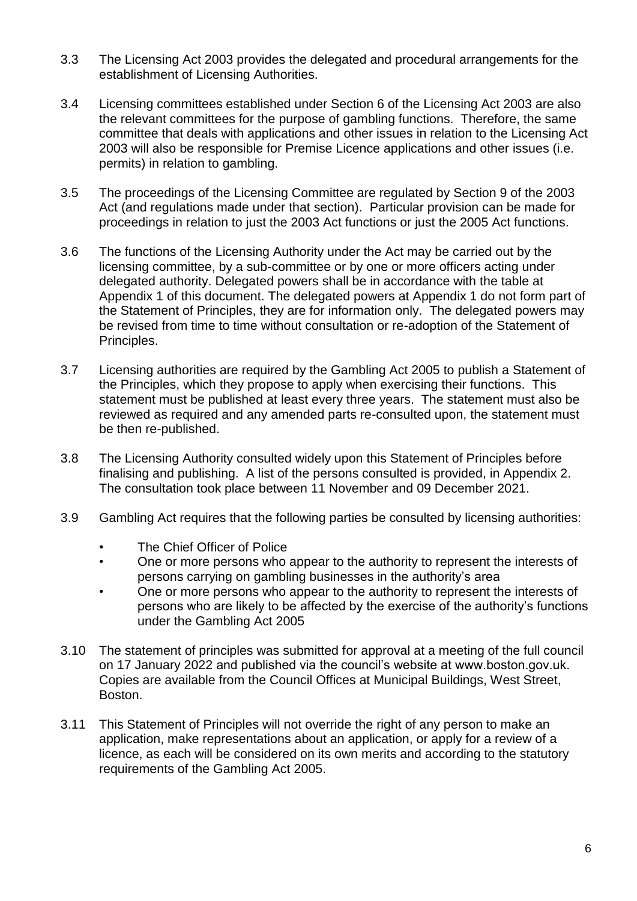- 3.3 The Licensing Act 2003 provides the delegated and procedural arrangements for the establishment of Licensing Authorities.
- 3.4 Licensing committees established under Section 6 of the Licensing Act 2003 are also the relevant committees for the purpose of gambling functions. Therefore, the same committee that deals with applications and other issues in relation to the Licensing Act 2003 will also be responsible for Premise Licence applications and other issues (i.e. permits) in relation to gambling.
- 3.5 The proceedings of the Licensing Committee are regulated by Section 9 of the 2003 Act (and regulations made under that section). Particular provision can be made for proceedings in relation to just the 2003 Act functions or just the 2005 Act functions.
- 3.6 The functions of the Licensing Authority under the Act may be carried out by the licensing committee, by a sub-committee or by one or more officers acting under delegated authority. Delegated powers shall be in accordance with the table at Appendix 1 of this document. The delegated powers at Appendix 1 do not form part of the Statement of Principles, they are for information only. The delegated powers may be revised from time to time without consultation or re-adoption of the Statement of Principles.
- 3.7 Licensing authorities are required by the Gambling Act 2005 to publish a Statement of the Principles, which they propose to apply when exercising their functions. This statement must be published at least every three years. The statement must also be reviewed as required and any amended parts re-consulted upon, the statement must be then re-published.
- 3.8 The Licensing Authority consulted widely upon this Statement of Principles before finalising and publishing. A list of the persons consulted is provided, in Appendix 2. The consultation took place between 11 November and 09 December 2021.
- 3.9 Gambling Act requires that the following parties be consulted by licensing authorities:
	- The Chief Officer of Police
	- One or more persons who appear to the authority to represent the interests of persons carrying on gambling businesses in the authority's area
	- One or more persons who appear to the authority to represent the interests of persons who are likely to be affected by the exercise of the authority's functions under the Gambling Act 2005
- 3.10 The statement of principles was submitted for approval at a meeting of the full council on 17 January 2022 and published via the council's website at www.boston.gov.uk. Copies are available from the Council Offices at Municipal Buildings, West Street, Boston.
- 3.11 This Statement of Principles will not override the right of any person to make an application, make representations about an application, or apply for a review of a licence, as each will be considered on its own merits and according to the statutory requirements of the Gambling Act 2005.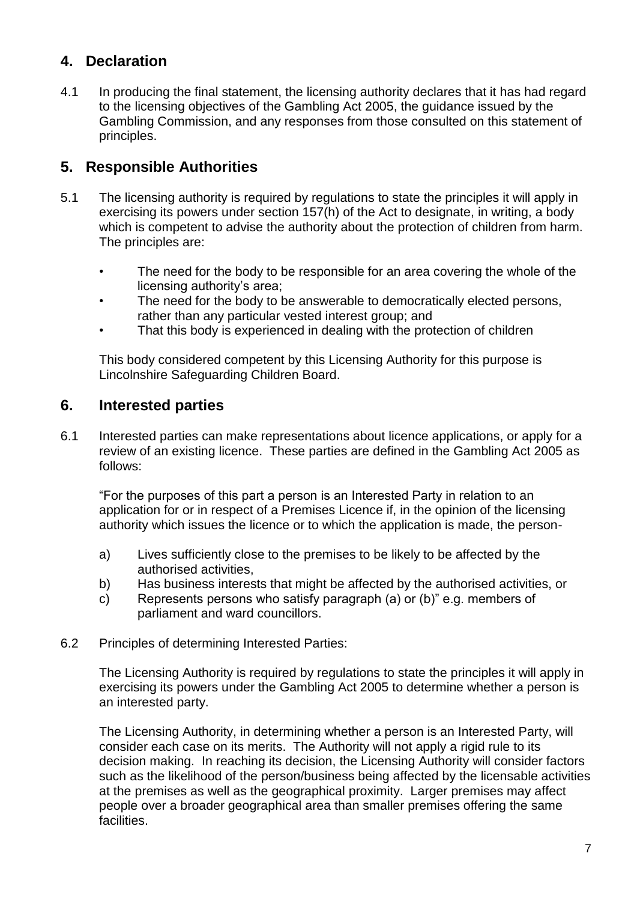## **4. Declaration**

4.1 In producing the final statement, the licensing authority declares that it has had regard to the licensing objectives of the Gambling Act 2005, the guidance issued by the Gambling Commission, and any responses from those consulted on this statement of principles.

### **5. Responsible Authorities**

- 5.1 The licensing authority is required by regulations to state the principles it will apply in exercising its powers under section 157(h) of the Act to designate, in writing, a body which is competent to advise the authority about the protection of children from harm. The principles are:
	- The need for the body to be responsible for an area covering the whole of the licensing authority's area;
	- The need for the body to be answerable to democratically elected persons, rather than any particular vested interest group; and
	- That this body is experienced in dealing with the protection of children

This body considered competent by this Licensing Authority for this purpose is Lincolnshire Safeguarding Children Board.

### **6. Interested parties**

6.1 Interested parties can make representations about licence applications, or apply for a review of an existing licence. These parties are defined in the Gambling Act 2005 as follows:

"For the purposes of this part a person is an Interested Party in relation to an application for or in respect of a Premises Licence if, in the opinion of the licensing authority which issues the licence or to which the application is made, the person-

- a) Lives sufficiently close to the premises to be likely to be affected by the authorised activities,
- b) Has business interests that might be affected by the authorised activities, or
- c) Represents persons who satisfy paragraph (a) or (b)" e.g. members of parliament and ward councillors.
- 6.2 Principles of determining Interested Parties:

The Licensing Authority is required by regulations to state the principles it will apply in exercising its powers under the Gambling Act 2005 to determine whether a person is an interested party.

The Licensing Authority, in determining whether a person is an Interested Party, will consider each case on its merits. The Authority will not apply a rigid rule to its decision making. In reaching its decision, the Licensing Authority will consider factors such as the likelihood of the person/business being affected by the licensable activities at the premises as well as the geographical proximity. Larger premises may affect people over a broader geographical area than smaller premises offering the same facilities.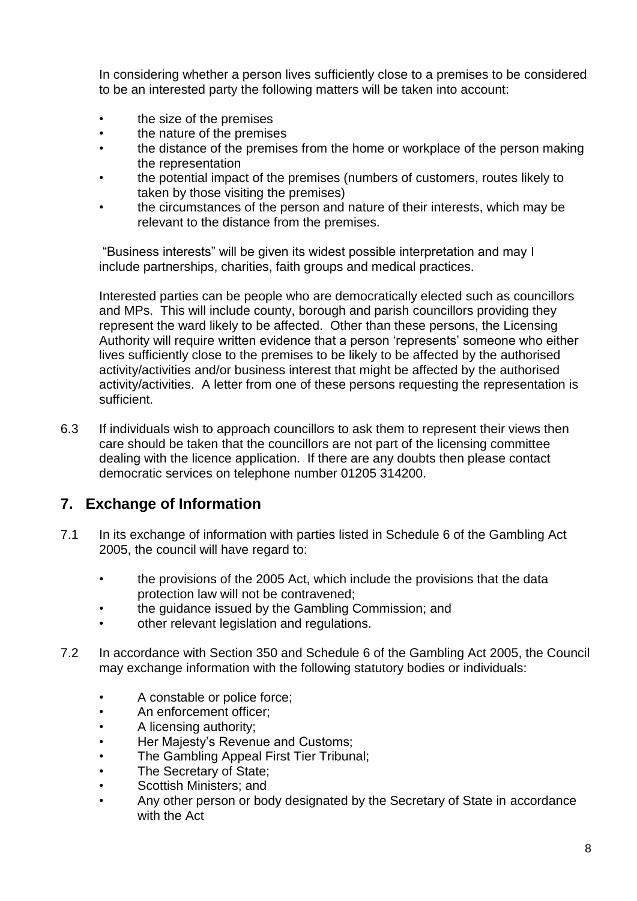In considering whether a person lives sufficiently close to a premises to be considered to be an interested party the following matters will be taken into account:

- the size of the premises
- the nature of the premises
- the distance of the premises from the home or workplace of the person making the representation
- the potential impact of the premises (numbers of customers, routes likely to taken by those visiting the premises)
- the circumstances of the person and nature of their interests, which may be relevant to the distance from the premises.

"Business interests" will be given its widest possible interpretation and may I include partnerships, charities, faith groups and medical practices.

Interested parties can be people who are democratically elected such as councillors and MPs. This will include county, borough and parish councillors providing they represent the ward likely to be affected. Other than these persons, the Licensing Authority will require written evidence that a person 'represents' someone who either lives sufficiently close to the premises to be likely to be affected by the authorised activity/activities and/or business interest that might be affected by the authorised activity/activities. A letter from one of these persons requesting the representation is sufficient.

6.3 If individuals wish to approach councillors to ask them to represent their views then care should be taken that the councillors are not part of the licensing committee dealing with the licence application. If there are any doubts then please contact democratic services on telephone number 01205 314200.

### **7. Exchange of Information**

- 7.1 In its exchange of information with parties listed in Schedule 6 of the Gambling Act 2005, the council will have regard to:
	- the provisions of the 2005 Act, which include the provisions that the data protection law will not be contravened;
	- the guidance issued by the Gambling Commission; and
	- other relevant legislation and regulations.
- 7.2 In accordance with Section 350 and Schedule 6 of the Gambling Act 2005, the Council may exchange information with the following statutory bodies or individuals:
	- A constable or police force;
	- An enforcement officer;
	- A licensing authority;
	- Her Majesty's Revenue and Customs;
	- The Gambling Appeal First Tier Tribunal;
	- The Secretary of State;
	- Scottish Ministers; and
	- Any other person or body designated by the Secretary of State in accordance with the Act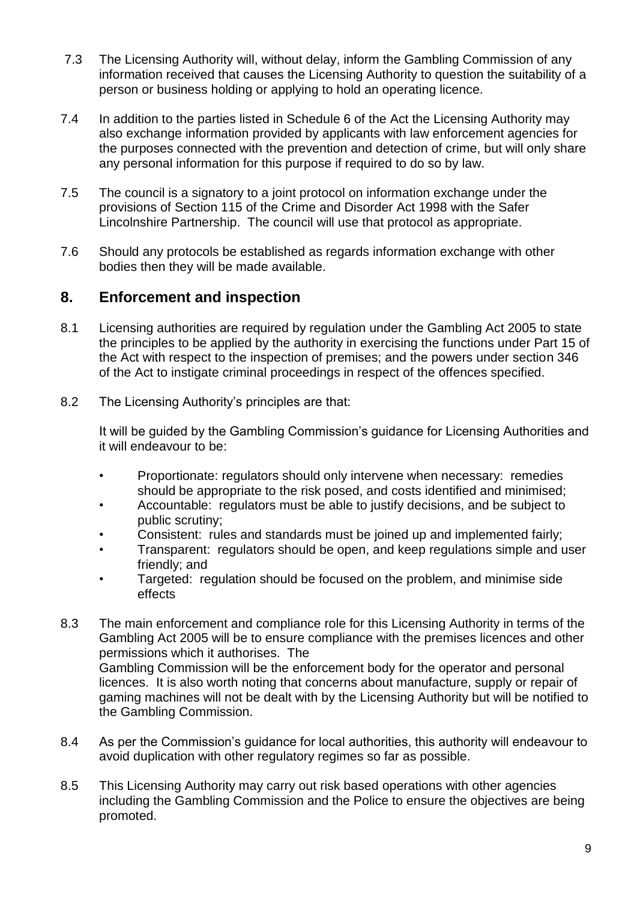- 7.3 The Licensing Authority will, without delay, inform the Gambling Commission of any information received that causes the Licensing Authority to question the suitability of a person or business holding or applying to hold an operating licence.
- 7.4 In addition to the parties listed in Schedule 6 of the Act the Licensing Authority may also exchange information provided by applicants with law enforcement agencies for the purposes connected with the prevention and detection of crime, but will only share any personal information for this purpose if required to do so by law.
- 7.5 The council is a signatory to a joint protocol on information exchange under the provisions of Section 115 of the Crime and Disorder Act 1998 with the Safer Lincolnshire Partnership. The council will use that protocol as appropriate.
- 7.6 Should any protocols be established as regards information exchange with other bodies then they will be made available.

#### **8. Enforcement and inspection**

- 8.1 Licensing authorities are required by regulation under the Gambling Act 2005 to state the principles to be applied by the authority in exercising the functions under Part 15 of the Act with respect to the inspection of premises; and the powers under section 346 of the Act to instigate criminal proceedings in respect of the offences specified.
- 8.2 The Licensing Authority's principles are that:

It will be guided by the Gambling Commission's guidance for Licensing Authorities and it will endeavour to be:

- Proportionate: regulators should only intervene when necessary: remedies should be appropriate to the risk posed, and costs identified and minimised;
- Accountable: regulators must be able to justify decisions, and be subject to public scrutiny;
- Consistent: rules and standards must be joined up and implemented fairly;
- Transparent: regulators should be open, and keep regulations simple and user friendly; and
- Targeted: regulation should be focused on the problem, and minimise side effects
- 8.3 The main enforcement and compliance role for this Licensing Authority in terms of the Gambling Act 2005 will be to ensure compliance with the premises licences and other permissions which it authorises. The Gambling Commission will be the enforcement body for the operator and personal licences. It is also worth noting that concerns about manufacture, supply or repair of gaming machines will not be dealt with by the Licensing Authority but will be notified to the Gambling Commission.
- 8.4 As per the Commission's guidance for local authorities, this authority will endeavour to avoid duplication with other regulatory regimes so far as possible.
- 8.5 This Licensing Authority may carry out risk based operations with other agencies including the Gambling Commission and the Police to ensure the objectives are being promoted.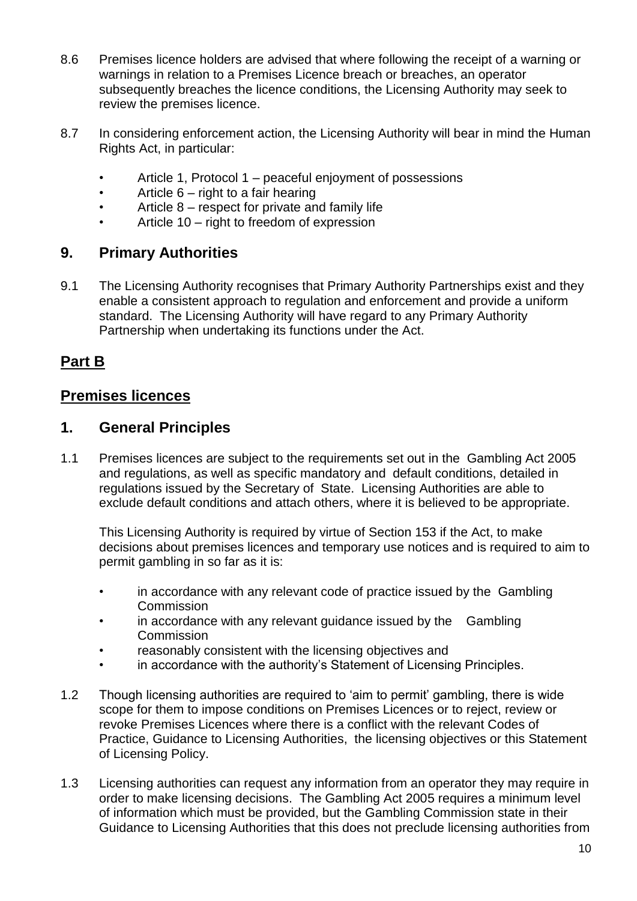- 8.6 Premises licence holders are advised that where following the receipt of a warning or warnings in relation to a Premises Licence breach or breaches, an operator subsequently breaches the licence conditions, the Licensing Authority may seek to review the premises licence.
- 8.7 In considering enforcement action, the Licensing Authority will bear in mind the Human Rights Act, in particular:
	- Article 1, Protocol 1 peaceful enjoyment of possessions
	- Article  $6 -$  right to a fair hearing
	- Article 8 respect for private and family life
	- Article 10 right to freedom of expression

#### **9. Primary Authorities**

9.1 The Licensing Authority recognises that Primary Authority Partnerships exist and they enable a consistent approach to regulation and enforcement and provide a uniform standard. The Licensing Authority will have regard to any Primary Authority Partnership when undertaking its functions under the Act.

#### **Part B**

#### **Premises licences**

#### **1. General Principles**

1.1 Premises licences are subject to the requirements set out in the Gambling Act 2005 and regulations, as well as specific mandatory and default conditions, detailed in regulations issued by the Secretary of State. Licensing Authorities are able to exclude default conditions and attach others, where it is believed to be appropriate.

This Licensing Authority is required by virtue of Section 153 if the Act, to make decisions about premises licences and temporary use notices and is required to aim to permit gambling in so far as it is:

- in accordance with any relevant code of practice issued by the Gambling **Commission**
- in accordance with any relevant guidance issued by the Gambling **Commission**
- reasonably consistent with the licensing objectives and
- in accordance with the authority's Statement of Licensing Principles.
- 1.2 Though licensing authorities are required to 'aim to permit' gambling, there is wide scope for them to impose conditions on Premises Licences or to reject, review or revoke Premises Licences where there is a conflict with the relevant Codes of Practice, Guidance to Licensing Authorities, the licensing objectives or this Statement of Licensing Policy.
- 1.3 Licensing authorities can request any information from an operator they may require in order to make licensing decisions. The Gambling Act 2005 requires a minimum level of information which must be provided, but the Gambling Commission state in their Guidance to Licensing Authorities that this does not preclude licensing authorities from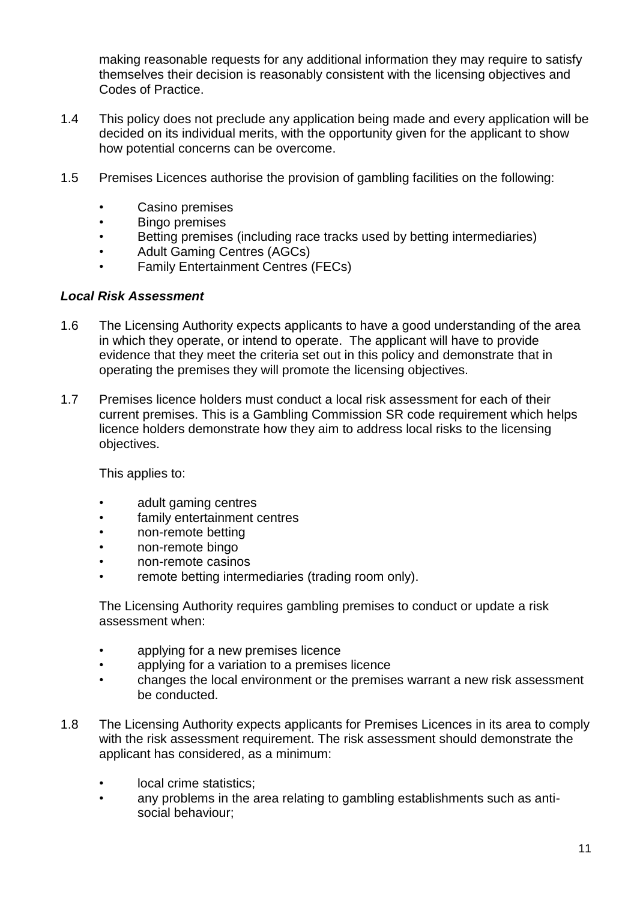making reasonable requests for any additional information they may require to satisfy themselves their decision is reasonably consistent with the licensing objectives and Codes of Practice.

- 1.4 This policy does not preclude any application being made and every application will be decided on its individual merits, with the opportunity given for the applicant to show how potential concerns can be overcome.
- 1.5 Premises Licences authorise the provision of gambling facilities on the following:
	- Casino premises
	- Bingo premises
	- Betting premises (including race tracks used by betting intermediaries)
	- Adult Gaming Centres (AGCs)
	- Family Entertainment Centres (FECs)

#### *Local Risk Assessment*

- 1.6 The Licensing Authority expects applicants to have a good understanding of the area in which they operate, or intend to operate. The applicant will have to provide evidence that they meet the criteria set out in this policy and demonstrate that in operating the premises they will promote the licensing objectives.
- 1.7 Premises licence holders must conduct a local risk assessment for each of their current premises. This is a Gambling Commission SR code requirement which helps licence holders demonstrate how they aim to address local risks to the licensing objectives.

This applies to:

- adult gaming centres
- family entertainment centres
- non-remote betting
- non-remote bingo
- non-remote casinos
- remote betting intermediaries (trading room only).

The Licensing Authority requires gambling premises to conduct or update a risk assessment when:

- applying for a new premises licence
- applying for a variation to a premises licence
- changes the local environment or the premises warrant a new risk assessment be conducted.
- 1.8 The Licensing Authority expects applicants for Premises Licences in its area to comply with the risk assessment requirement. The risk assessment should demonstrate the applicant has considered, as a minimum:
	- local crime statistics:
	- any problems in the area relating to gambling establishments such as antisocial behaviour;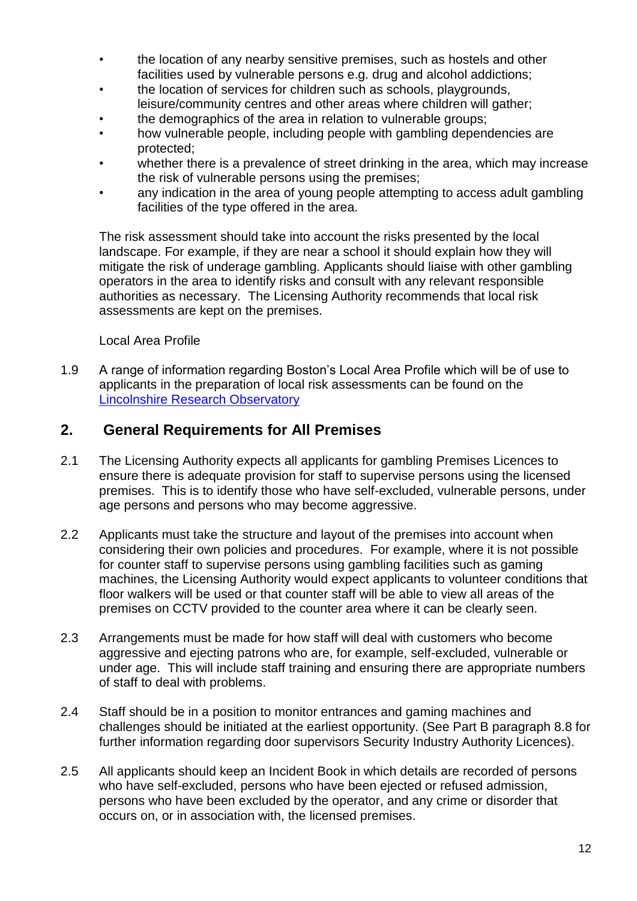- the location of any nearby sensitive premises, such as hostels and other facilities used by vulnerable persons e.g. drug and alcohol addictions;
- the location of services for children such as schools, playgrounds, leisure/community centres and other areas where children will gather;
- the demographics of the area in relation to vulnerable groups;
- how vulnerable people, including people with gambling dependencies are protected;
- whether there is a prevalence of street drinking in the area, which may increase the risk of vulnerable persons using the premises;
- any indication in the area of young people attempting to access adult gambling facilities of the type offered in the area.

The risk assessment should take into account the risks presented by the local landscape. For example, if they are near a school it should explain how they will mitigate the risk of underage gambling. Applicants should liaise with other gambling operators in the area to identify risks and consult with any relevant responsible authorities as necessary. The Licensing Authority recommends that local risk assessments are kept on the premises.

Local Area Profile

1.9 A range of information regarding Boston's Local Area Profile which will be of use to applicants in the preparation of local risk assessments can be found on the [Lincolnshire Research Observatory](http://www.research-lincs.org.uk/area-profiles.aspx)

### **2. General Requirements for All Premises**

- 2.1 The Licensing Authority expects all applicants for gambling Premises Licences to ensure there is adequate provision for staff to supervise persons using the licensed premises. This is to identify those who have self-excluded, vulnerable persons, under age persons and persons who may become aggressive.
- 2.2 Applicants must take the structure and layout of the premises into account when considering their own policies and procedures. For example, where it is not possible for counter staff to supervise persons using gambling facilities such as gaming machines, the Licensing Authority would expect applicants to volunteer conditions that floor walkers will be used or that counter staff will be able to view all areas of the premises on CCTV provided to the counter area where it can be clearly seen.
- 2.3 Arrangements must be made for how staff will deal with customers who become aggressive and ejecting patrons who are, for example, self-excluded, vulnerable or under age. This will include staff training and ensuring there are appropriate numbers of staff to deal with problems.
- 2.4 Staff should be in a position to monitor entrances and gaming machines and challenges should be initiated at the earliest opportunity. (See Part B paragraph 8.8 for further information regarding door supervisors Security Industry Authority Licences).
- 2.5 All applicants should keep an Incident Book in which details are recorded of persons who have self-excluded, persons who have been ejected or refused admission, persons who have been excluded by the operator, and any crime or disorder that occurs on, or in association with, the licensed premises.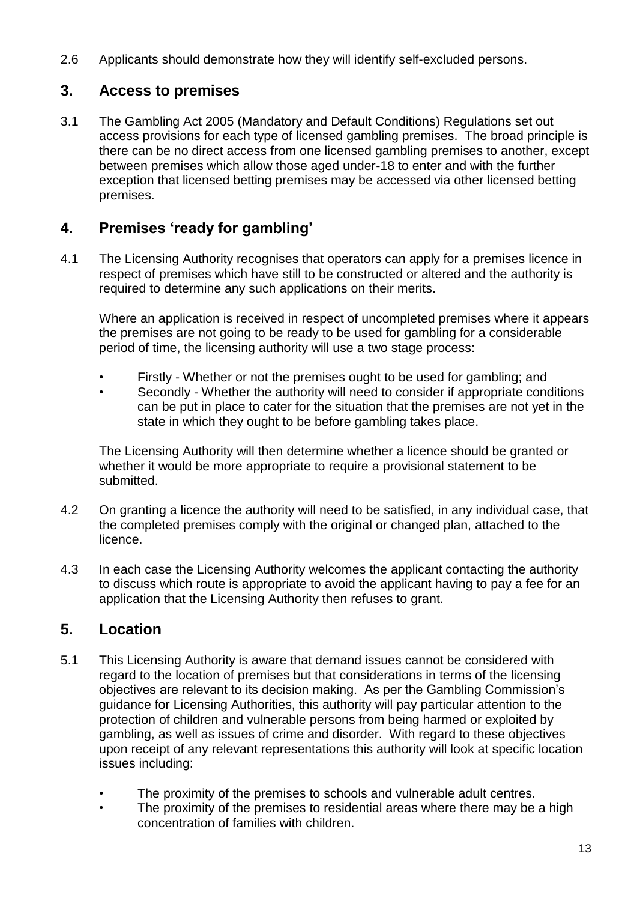2.6 Applicants should demonstrate how they will identify self-excluded persons.

## **3. Access to premises**

3.1 The Gambling Act 2005 (Mandatory and Default Conditions) Regulations set out access provisions for each type of licensed gambling premises. The broad principle is there can be no direct access from one licensed gambling premises to another, except between premises which allow those aged under-18 to enter and with the further exception that licensed betting premises may be accessed via other licensed betting premises.

## **4. Premises 'ready for gambling'**

4.1 The Licensing Authority recognises that operators can apply for a premises licence in respect of premises which have still to be constructed or altered and the authority is required to determine any such applications on their merits.

Where an application is received in respect of uncompleted premises where it appears the premises are not going to be ready to be used for gambling for a considerable period of time, the licensing authority will use a two stage process:

- Firstly Whether or not the premises ought to be used for gambling; and
- Secondly Whether the authority will need to consider if appropriate conditions can be put in place to cater for the situation that the premises are not yet in the state in which they ought to be before gambling takes place.

The Licensing Authority will then determine whether a licence should be granted or whether it would be more appropriate to require a provisional statement to be submitted.

- 4.2 On granting a licence the authority will need to be satisfied, in any individual case, that the completed premises comply with the original or changed plan, attached to the licence.
- 4.3 In each case the Licensing Authority welcomes the applicant contacting the authority to discuss which route is appropriate to avoid the applicant having to pay a fee for an application that the Licensing Authority then refuses to grant.

## **5. Location**

- 5.1 This Licensing Authority is aware that demand issues cannot be considered with regard to the location of premises but that considerations in terms of the licensing objectives are relevant to its decision making. As per the Gambling Commission's guidance for Licensing Authorities, this authority will pay particular attention to the protection of children and vulnerable persons from being harmed or exploited by gambling, as well as issues of crime and disorder. With regard to these objectives upon receipt of any relevant representations this authority will look at specific location issues including:
	- The proximity of the premises to schools and vulnerable adult centres.
	- The proximity of the premises to residential areas where there may be a high concentration of families with children.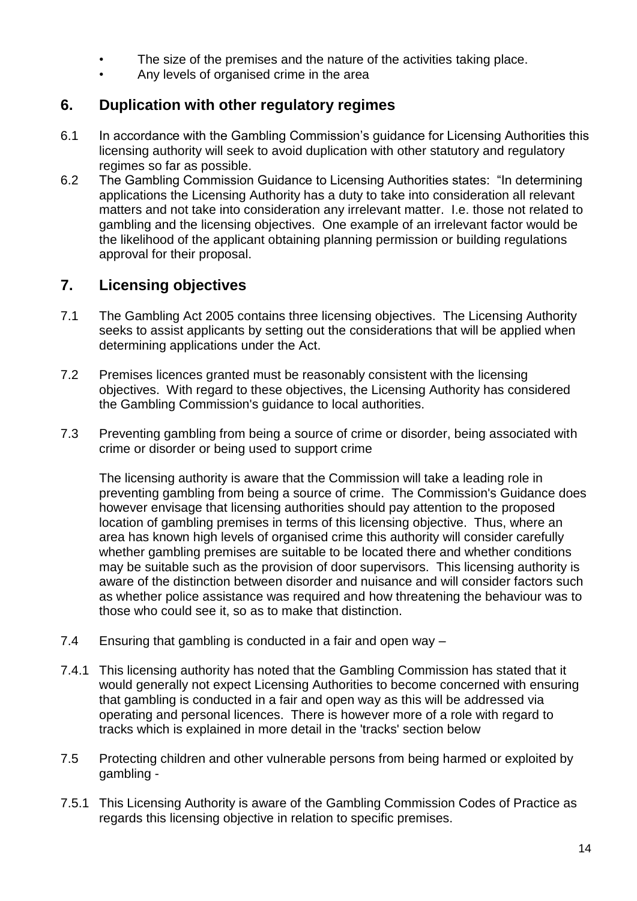- The size of the premises and the nature of the activities taking place.
- Any levels of organised crime in the area

## **6. Duplication with other regulatory regimes**

- 6.1 In accordance with the Gambling Commission's guidance for Licensing Authorities this licensing authority will seek to avoid duplication with other statutory and regulatory regimes so far as possible.
- 6.2 The Gambling Commission Guidance to Licensing Authorities states: "In determining applications the Licensing Authority has a duty to take into consideration all relevant matters and not take into consideration any irrelevant matter. I.e. those not related to gambling and the licensing objectives. One example of an irrelevant factor would be the likelihood of the applicant obtaining planning permission or building regulations approval for their proposal.

## **7. Licensing objectives**

- 7.1 The Gambling Act 2005 contains three licensing objectives. The Licensing Authority seeks to assist applicants by setting out the considerations that will be applied when determining applications under the Act.
- 7.2 Premises licences granted must be reasonably consistent with the licensing objectives. With regard to these objectives, the Licensing Authority has considered the Gambling Commission's guidance to local authorities.
- 7.3 Preventing gambling from being a source of crime or disorder, being associated with crime or disorder or being used to support crime

The licensing authority is aware that the Commission will take a leading role in preventing gambling from being a source of crime. The Commission's Guidance does however envisage that licensing authorities should pay attention to the proposed location of gambling premises in terms of this licensing objective. Thus, where an area has known high levels of organised crime this authority will consider carefully whether gambling premises are suitable to be located there and whether conditions may be suitable such as the provision of door supervisors. This licensing authority is aware of the distinction between disorder and nuisance and will consider factors such as whether police assistance was required and how threatening the behaviour was to those who could see it, so as to make that distinction.

- 7.4 Ensuring that gambling is conducted in a fair and open way –
- 7.4.1 This licensing authority has noted that the Gambling Commission has stated that it would generally not expect Licensing Authorities to become concerned with ensuring that gambling is conducted in a fair and open way as this will be addressed via operating and personal licences. There is however more of a role with regard to tracks which is explained in more detail in the 'tracks' section below
- 7.5 Protecting children and other vulnerable persons from being harmed or exploited by gambling -
- 7.5.1 This Licensing Authority is aware of the Gambling Commission Codes of Practice as regards this licensing objective in relation to specific premises.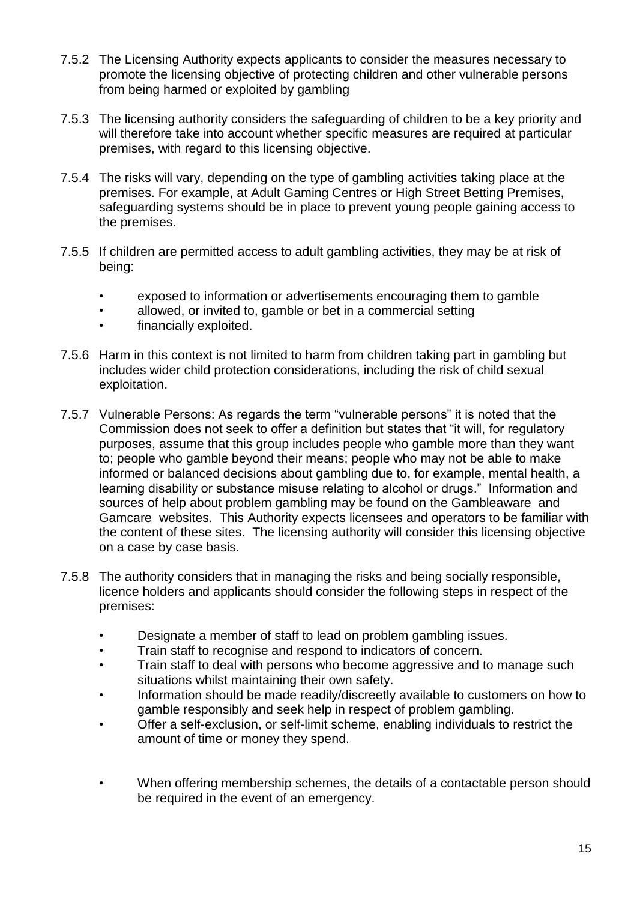- 7.5.2 The Licensing Authority expects applicants to consider the measures necessary to promote the licensing objective of protecting children and other vulnerable persons from being harmed or exploited by gambling
- 7.5.3 The licensing authority considers the safeguarding of children to be a key priority and will therefore take into account whether specific measures are required at particular premises, with regard to this licensing objective.
- 7.5.4 The risks will vary, depending on the type of gambling activities taking place at the premises. For example, at Adult Gaming Centres or High Street Betting Premises, safeguarding systems should be in place to prevent young people gaining access to the premises.
- 7.5.5 If children are permitted access to adult gambling activities, they may be at risk of being:
	- exposed to information or advertisements encouraging them to gamble
	- allowed, or invited to, gamble or bet in a commercial setting
	- financially exploited.
- 7.5.6 Harm in this context is not limited to harm from children taking part in gambling but includes wider child protection considerations, including the risk of child sexual exploitation.
- 7.5.7 Vulnerable Persons: As regards the term "vulnerable persons" it is noted that the Commission does not seek to offer a definition but states that "it will, for regulatory purposes, assume that this group includes people who gamble more than they want to; people who gamble beyond their means; people who may not be able to make informed or balanced decisions about gambling due to, for example, mental health, a learning disability or substance misuse relating to alcohol or drugs." Information and sources of help about problem gambling may be found on the Gambleaware and Gamcare websites. This Authority expects licensees and operators to be familiar with the content of these sites. The licensing authority will consider this licensing objective on a case by case basis.
- 7.5.8 The authority considers that in managing the risks and being socially responsible, licence holders and applicants should consider the following steps in respect of the premises:
	- Designate a member of staff to lead on problem gambling issues.
	- Train staff to recognise and respond to indicators of concern.
	- Train staff to deal with persons who become aggressive and to manage such situations whilst maintaining their own safety.
	- Information should be made readily/discreetly available to customers on how to gamble responsibly and seek help in respect of problem gambling.
	- Offer a self-exclusion, or self-limit scheme, enabling individuals to restrict the amount of time or money they spend.
	- When offering membership schemes, the details of a contactable person should be required in the event of an emergency.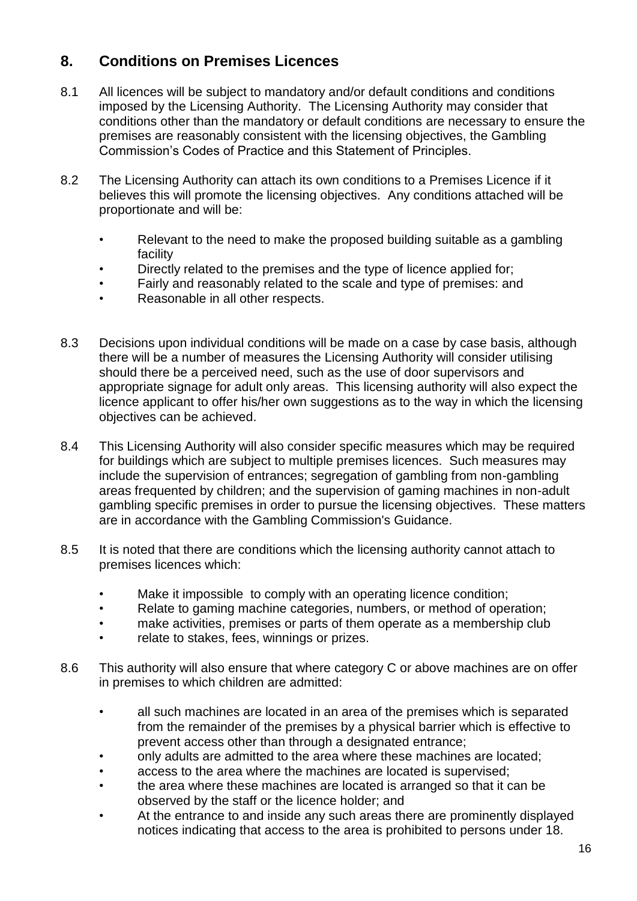## **8. Conditions on Premises Licences**

- 8.1 All licences will be subject to mandatory and/or default conditions and conditions imposed by the Licensing Authority. The Licensing Authority may consider that conditions other than the mandatory or default conditions are necessary to ensure the premises are reasonably consistent with the licensing objectives, the Gambling Commission's Codes of Practice and this Statement of Principles.
- 8.2 The Licensing Authority can attach its own conditions to a Premises Licence if it believes this will promote the licensing objectives. Any conditions attached will be proportionate and will be:
	- Relevant to the need to make the proposed building suitable as a gambling facility
	- Directly related to the premises and the type of licence applied for;
	- Fairly and reasonably related to the scale and type of premises: and
	- Reasonable in all other respects.
- 8.3 Decisions upon individual conditions will be made on a case by case basis, although there will be a number of measures the Licensing Authority will consider utilising should there be a perceived need, such as the use of door supervisors and appropriate signage for adult only areas. This licensing authority will also expect the licence applicant to offer his/her own suggestions as to the way in which the licensing objectives can be achieved.
- 8.4 This Licensing Authority will also consider specific measures which may be required for buildings which are subject to multiple premises licences. Such measures may include the supervision of entrances; segregation of gambling from non-gambling areas frequented by children; and the supervision of gaming machines in non-adult gambling specific premises in order to pursue the licensing objectives. These matters are in accordance with the Gambling Commission's Guidance.
- 8.5 It is noted that there are conditions which the licensing authority cannot attach to premises licences which:
	- Make it impossible to comply with an operating licence condition;
	- Relate to gaming machine categories, numbers, or method of operation;
	- make activities, premises or parts of them operate as a membership club
	- relate to stakes, fees, winnings or prizes.
- 8.6 This authority will also ensure that where category C or above machines are on offer in premises to which children are admitted:
	- all such machines are located in an area of the premises which is separated from the remainder of the premises by a physical barrier which is effective to prevent access other than through a designated entrance;
	- only adults are admitted to the area where these machines are located;
	- access to the area where the machines are located is supervised;
	- the area where these machines are located is arranged so that it can be observed by the staff or the licence holder; and
	- At the entrance to and inside any such areas there are prominently displayed notices indicating that access to the area is prohibited to persons under 18.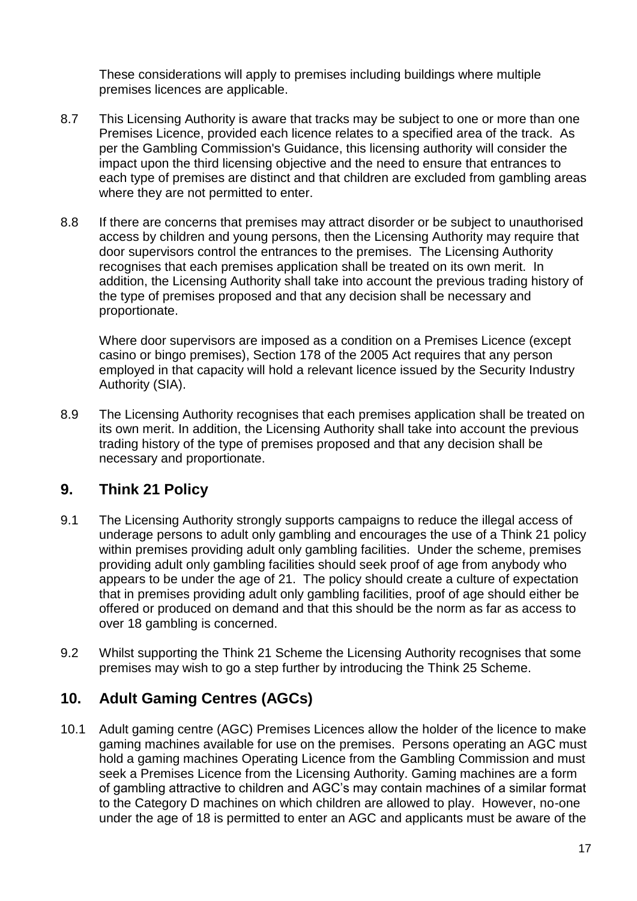These considerations will apply to premises including buildings where multiple premises licences are applicable.

- 8.7 This Licensing Authority is aware that tracks may be subject to one or more than one Premises Licence, provided each licence relates to a specified area of the track. As per the Gambling Commission's Guidance, this licensing authority will consider the impact upon the third licensing objective and the need to ensure that entrances to each type of premises are distinct and that children are excluded from gambling areas where they are not permitted to enter.
- 8.8 If there are concerns that premises may attract disorder or be subject to unauthorised access by children and young persons, then the Licensing Authority may require that door supervisors control the entrances to the premises. The Licensing Authority recognises that each premises application shall be treated on its own merit. In addition, the Licensing Authority shall take into account the previous trading history of the type of premises proposed and that any decision shall be necessary and proportionate.

Where door supervisors are imposed as a condition on a Premises Licence (except casino or bingo premises), Section 178 of the 2005 Act requires that any person employed in that capacity will hold a relevant licence issued by the Security Industry Authority (SIA).

8.9 The Licensing Authority recognises that each premises application shall be treated on its own merit. In addition, the Licensing Authority shall take into account the previous trading history of the type of premises proposed and that any decision shall be necessary and proportionate.

### **9. Think 21 Policy**

- 9.1 The Licensing Authority strongly supports campaigns to reduce the illegal access of underage persons to adult only gambling and encourages the use of a Think 21 policy within premises providing adult only gambling facilities. Under the scheme, premises providing adult only gambling facilities should seek proof of age from anybody who appears to be under the age of 21. The policy should create a culture of expectation that in premises providing adult only gambling facilities, proof of age should either be offered or produced on demand and that this should be the norm as far as access to over 18 gambling is concerned.
- 9.2 Whilst supporting the Think 21 Scheme the Licensing Authority recognises that some premises may wish to go a step further by introducing the Think 25 Scheme.

### **10. Adult Gaming Centres (AGCs)**

10.1 Adult gaming centre (AGC) Premises Licences allow the holder of the licence to make gaming machines available for use on the premises. Persons operating an AGC must hold a gaming machines Operating Licence from the Gambling Commission and must seek a Premises Licence from the Licensing Authority. Gaming machines are a form of gambling attractive to children and AGC's may contain machines of a similar format to the Category D machines on which children are allowed to play. However, no-one under the age of 18 is permitted to enter an AGC and applicants must be aware of the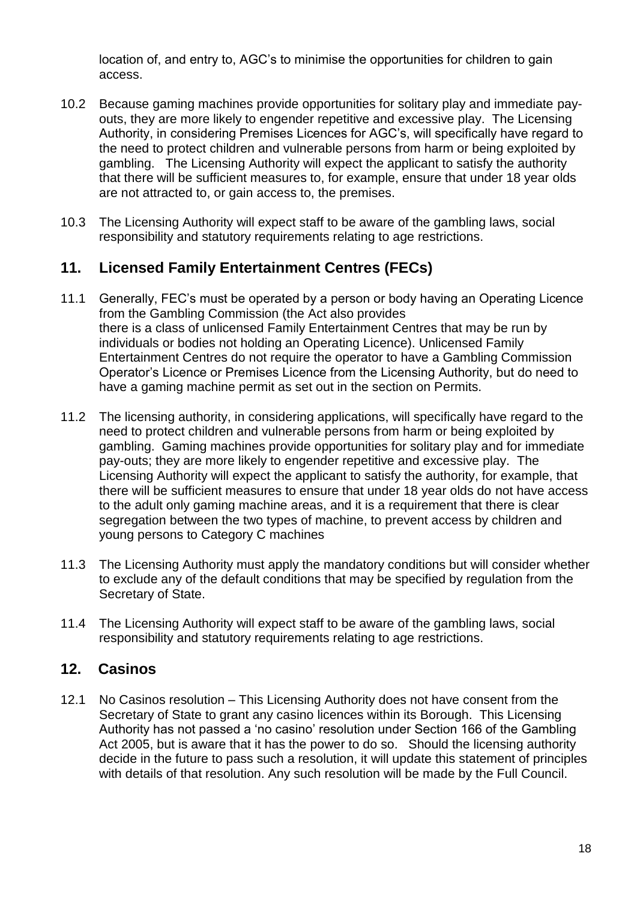location of, and entry to, AGC's to minimise the opportunities for children to gain access.

- 10.2 Because gaming machines provide opportunities for solitary play and immediate payouts, they are more likely to engender repetitive and excessive play. The Licensing Authority, in considering Premises Licences for AGC's, will specifically have regard to the need to protect children and vulnerable persons from harm or being exploited by gambling. The Licensing Authority will expect the applicant to satisfy the authority that there will be sufficient measures to, for example, ensure that under 18 year olds are not attracted to, or gain access to, the premises.
- 10.3 The Licensing Authority will expect staff to be aware of the gambling laws, social responsibility and statutory requirements relating to age restrictions.

## **11. Licensed Family Entertainment Centres (FECs)**

- 11.1 Generally, FEC's must be operated by a person or body having an Operating Licence from the Gambling Commission (the Act also provides there is a class of unlicensed Family Entertainment Centres that may be run by individuals or bodies not holding an Operating Licence). Unlicensed Family Entertainment Centres do not require the operator to have a Gambling Commission Operator's Licence or Premises Licence from the Licensing Authority, but do need to have a gaming machine permit as set out in the section on Permits.
- 11.2 The licensing authority, in considering applications, will specifically have regard to the need to protect children and vulnerable persons from harm or being exploited by gambling. Gaming machines provide opportunities for solitary play and for immediate pay-outs; they are more likely to engender repetitive and excessive play. The Licensing Authority will expect the applicant to satisfy the authority, for example, that there will be sufficient measures to ensure that under 18 year olds do not have access to the adult only gaming machine areas, and it is a requirement that there is clear segregation between the two types of machine, to prevent access by children and young persons to Category C machines
- 11.3 The Licensing Authority must apply the mandatory conditions but will consider whether to exclude any of the default conditions that may be specified by regulation from the Secretary of State.
- 11.4 The Licensing Authority will expect staff to be aware of the gambling laws, social responsibility and statutory requirements relating to age restrictions.

#### **12. Casinos**

12.1 No Casinos resolution – This Licensing Authority does not have consent from the Secretary of State to grant any casino licences within its Borough. This Licensing Authority has not passed a 'no casino' resolution under Section 166 of the Gambling Act 2005, but is aware that it has the power to do so. Should the licensing authority decide in the future to pass such a resolution, it will update this statement of principles with details of that resolution. Any such resolution will be made by the Full Council.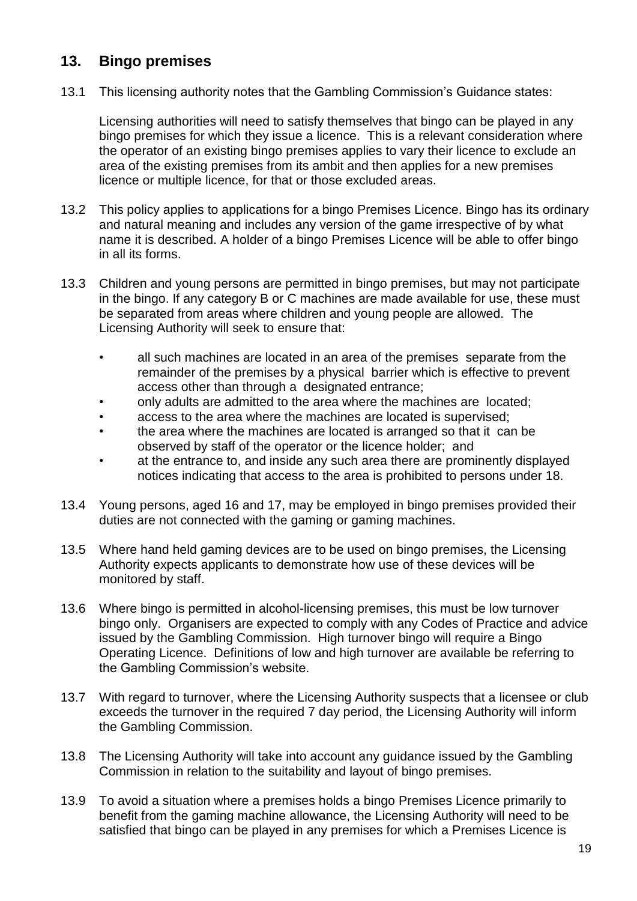## **13. Bingo premises**

13.1 This licensing authority notes that the Gambling Commission's Guidance states:

Licensing authorities will need to satisfy themselves that bingo can be played in any bingo premises for which they issue a licence. This is a relevant consideration where the operator of an existing bingo premises applies to vary their licence to exclude an area of the existing premises from its ambit and then applies for a new premises licence or multiple licence, for that or those excluded areas.

- 13.2 This policy applies to applications for a bingo Premises Licence. Bingo has its ordinary and natural meaning and includes any version of the game irrespective of by what name it is described. A holder of a bingo Premises Licence will be able to offer bingo in all its forms.
- 13.3 Children and young persons are permitted in bingo premises, but may not participate in the bingo. If any category B or C machines are made available for use, these must be separated from areas where children and young people are allowed. The Licensing Authority will seek to ensure that:
	- all such machines are located in an area of the premises separate from the remainder of the premises by a physical barrier which is effective to prevent access other than through a designated entrance;
	- only adults are admitted to the area where the machines are located;
	- access to the area where the machines are located is supervised;
	- the area where the machines are located is arranged so that it can be observed by staff of the operator or the licence holder; and
	- at the entrance to, and inside any such area there are prominently displayed notices indicating that access to the area is prohibited to persons under 18.
- 13.4 Young persons, aged 16 and 17, may be employed in bingo premises provided their duties are not connected with the gaming or gaming machines.
- 13.5 Where hand held gaming devices are to be used on bingo premises, the Licensing Authority expects applicants to demonstrate how use of these devices will be monitored by staff.
- 13.6 Where bingo is permitted in alcohol-licensing premises, this must be low turnover bingo only. Organisers are expected to comply with any Codes of Practice and advice issued by the Gambling Commission. High turnover bingo will require a Bingo Operating Licence. Definitions of low and high turnover are available be referring to the Gambling Commission's website.
- 13.7 With regard to turnover, where the Licensing Authority suspects that a licensee or club exceeds the turnover in the required 7 day period, the Licensing Authority will inform the Gambling Commission.
- 13.8 The Licensing Authority will take into account any guidance issued by the Gambling Commission in relation to the suitability and layout of bingo premises.
- 13.9 To avoid a situation where a premises holds a bingo Premises Licence primarily to benefit from the gaming machine allowance, the Licensing Authority will need to be satisfied that bingo can be played in any premises for which a Premises Licence is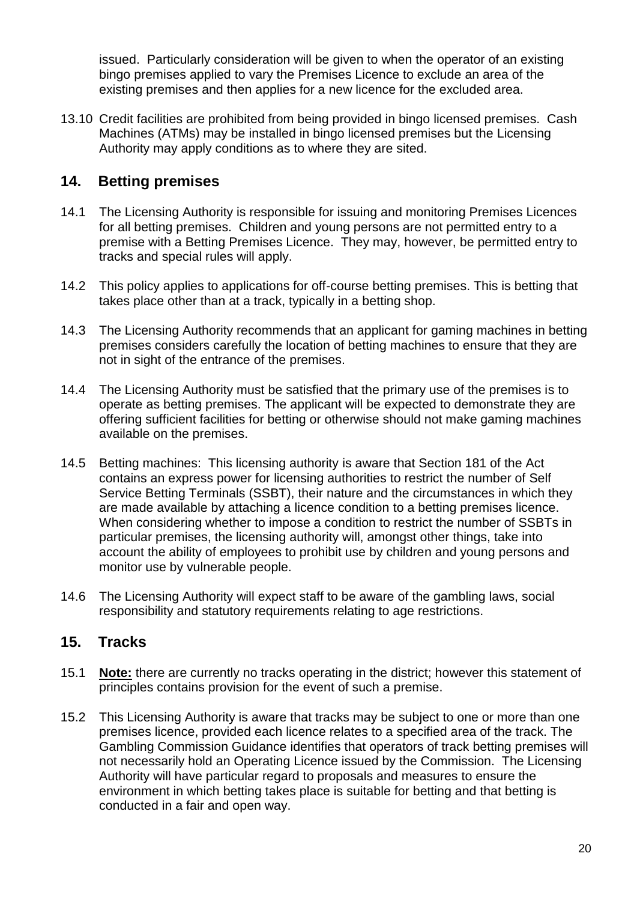issued. Particularly consideration will be given to when the operator of an existing bingo premises applied to vary the Premises Licence to exclude an area of the existing premises and then applies for a new licence for the excluded area.

13.10 Credit facilities are prohibited from being provided in bingo licensed premises. Cash Machines (ATMs) may be installed in bingo licensed premises but the Licensing Authority may apply conditions as to where they are sited.

#### **14. Betting premises**

- 14.1 The Licensing Authority is responsible for issuing and monitoring Premises Licences for all betting premises. Children and young persons are not permitted entry to a premise with a Betting Premises Licence. They may, however, be permitted entry to tracks and special rules will apply.
- 14.2 This policy applies to applications for off-course betting premises. This is betting that takes place other than at a track, typically in a betting shop.
- 14.3 The Licensing Authority recommends that an applicant for gaming machines in betting premises considers carefully the location of betting machines to ensure that they are not in sight of the entrance of the premises.
- 14.4 The Licensing Authority must be satisfied that the primary use of the premises is to operate as betting premises. The applicant will be expected to demonstrate they are offering sufficient facilities for betting or otherwise should not make gaming machines available on the premises.
- 14.5 Betting machines: This licensing authority is aware that Section 181 of the Act contains an express power for licensing authorities to restrict the number of Self Service Betting Terminals (SSBT), their nature and the circumstances in which they are made available by attaching a licence condition to a betting premises licence. When considering whether to impose a condition to restrict the number of SSBTs in particular premises, the licensing authority will, amongst other things, take into account the ability of employees to prohibit use by children and young persons and monitor use by vulnerable people.
- 14.6 The Licensing Authority will expect staff to be aware of the gambling laws, social responsibility and statutory requirements relating to age restrictions.

#### **15. Tracks**

- 15.1 **Note:** there are currently no tracks operating in the district; however this statement of principles contains provision for the event of such a premise.
- 15.2 This Licensing Authority is aware that tracks may be subject to one or more than one premises licence, provided each licence relates to a specified area of the track. The Gambling Commission Guidance identifies that operators of track betting premises will not necessarily hold an Operating Licence issued by the Commission. The Licensing Authority will have particular regard to proposals and measures to ensure the environment in which betting takes place is suitable for betting and that betting is conducted in a fair and open way.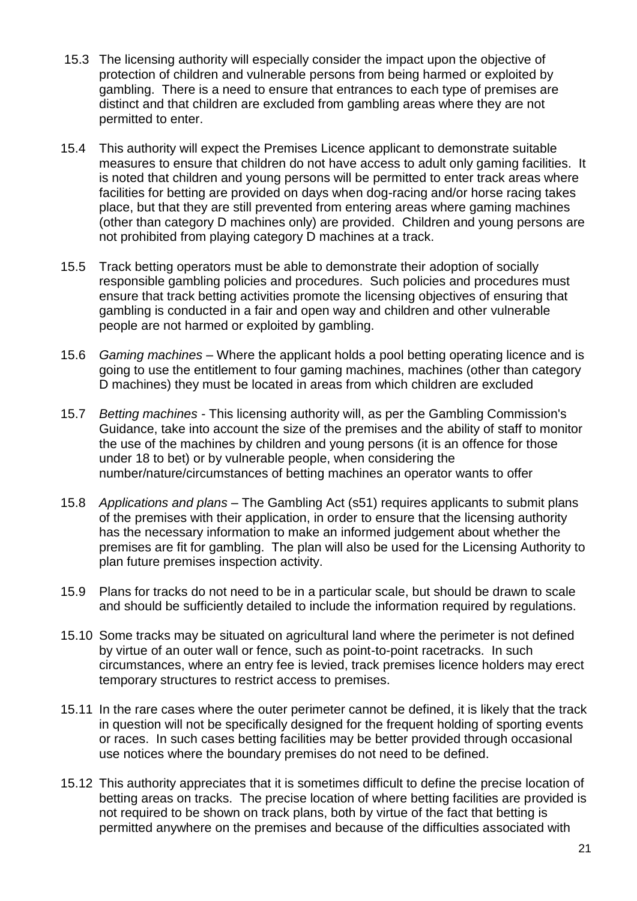- 15.3 The licensing authority will especially consider the impact upon the objective of protection of children and vulnerable persons from being harmed or exploited by gambling. There is a need to ensure that entrances to each type of premises are distinct and that children are excluded from gambling areas where they are not permitted to enter.
- 15.4 This authority will expect the Premises Licence applicant to demonstrate suitable measures to ensure that children do not have access to adult only gaming facilities. It is noted that children and young persons will be permitted to enter track areas where facilities for betting are provided on days when dog-racing and/or horse racing takes place, but that they are still prevented from entering areas where gaming machines (other than category D machines only) are provided. Children and young persons are not prohibited from playing category D machines at a track.
- 15.5 Track betting operators must be able to demonstrate their adoption of socially responsible gambling policies and procedures. Such policies and procedures must ensure that track betting activities promote the licensing objectives of ensuring that gambling is conducted in a fair and open way and children and other vulnerable people are not harmed or exploited by gambling.
- 15.6 *Gaming machines* Where the applicant holds a pool betting operating licence and is going to use the entitlement to four gaming machines, machines (other than category D machines) they must be located in areas from which children are excluded
- 15.7 *Betting machines* This licensing authority will, as per the Gambling Commission's Guidance, take into account the size of the premises and the ability of staff to monitor the use of the machines by children and young persons (it is an offence for those under 18 to bet) or by vulnerable people, when considering the number/nature/circumstances of betting machines an operator wants to offer
- 15.8 *Applications and plans* The Gambling Act (s51) requires applicants to submit plans of the premises with their application, in order to ensure that the licensing authority has the necessary information to make an informed judgement about whether the premises are fit for gambling. The plan will also be used for the Licensing Authority to plan future premises inspection activity.
- 15.9 Plans for tracks do not need to be in a particular scale, but should be drawn to scale and should be sufficiently detailed to include the information required by regulations.
- 15.10 Some tracks may be situated on agricultural land where the perimeter is not defined by virtue of an outer wall or fence, such as point-to-point racetracks. In such circumstances, where an entry fee is levied, track premises licence holders may erect temporary structures to restrict access to premises.
- 15.11 In the rare cases where the outer perimeter cannot be defined, it is likely that the track in question will not be specifically designed for the frequent holding of sporting events or races. In such cases betting facilities may be better provided through occasional use notices where the boundary premises do not need to be defined.
- 15.12 This authority appreciates that it is sometimes difficult to define the precise location of betting areas on tracks. The precise location of where betting facilities are provided is not required to be shown on track plans, both by virtue of the fact that betting is permitted anywhere on the premises and because of the difficulties associated with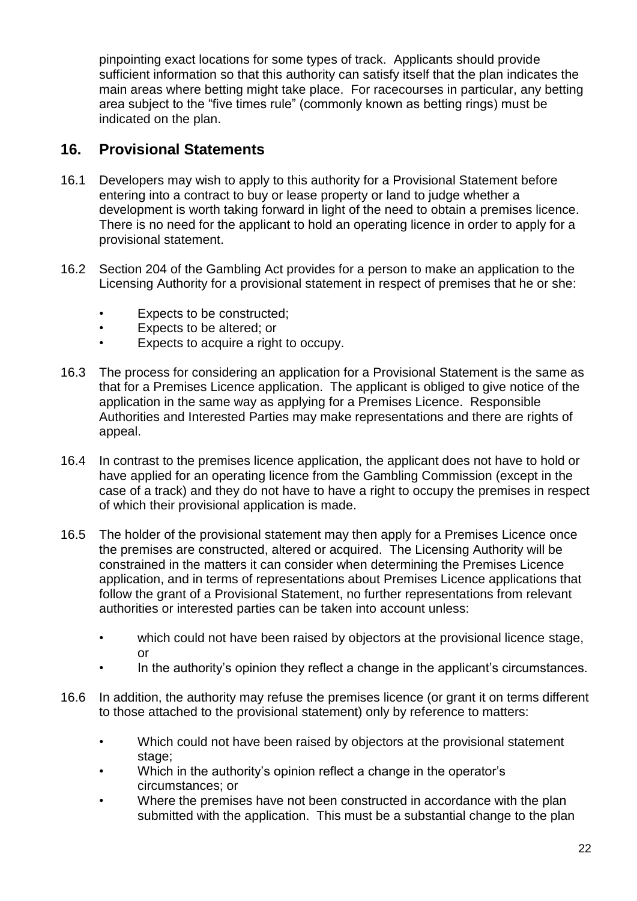pinpointing exact locations for some types of track. Applicants should provide sufficient information so that this authority can satisfy itself that the plan indicates the main areas where betting might take place. For racecourses in particular, any betting area subject to the "five times rule" (commonly known as betting rings) must be indicated on the plan.

#### **16. Provisional Statements**

- 16.1 Developers may wish to apply to this authority for a Provisional Statement before entering into a contract to buy or lease property or land to judge whether a development is worth taking forward in light of the need to obtain a premises licence. There is no need for the applicant to hold an operating licence in order to apply for a provisional statement.
- 16.2 Section 204 of the Gambling Act provides for a person to make an application to the Licensing Authority for a provisional statement in respect of premises that he or she:
	- Expects to be constructed;
	- Expects to be altered; or
	- Expects to acquire a right to occupy.
- 16.3 The process for considering an application for a Provisional Statement is the same as that for a Premises Licence application. The applicant is obliged to give notice of the application in the same way as applying for a Premises Licence. Responsible Authorities and Interested Parties may make representations and there are rights of appeal.
- 16.4 In contrast to the premises licence application, the applicant does not have to hold or have applied for an operating licence from the Gambling Commission (except in the case of a track) and they do not have to have a right to occupy the premises in respect of which their provisional application is made.
- 16.5 The holder of the provisional statement may then apply for a Premises Licence once the premises are constructed, altered or acquired. The Licensing Authority will be constrained in the matters it can consider when determining the Premises Licence application, and in terms of representations about Premises Licence applications that follow the grant of a Provisional Statement, no further representations from relevant authorities or interested parties can be taken into account unless:
	- which could not have been raised by objectors at the provisional licence stage, or
	- In the authority's opinion they reflect a change in the applicant's circumstances.
- 16.6 In addition, the authority may refuse the premises licence (or grant it on terms different to those attached to the provisional statement) only by reference to matters:
	- Which could not have been raised by objectors at the provisional statement stage:
	- Which in the authority's opinion reflect a change in the operator's circumstances; or
	- Where the premises have not been constructed in accordance with the plan submitted with the application. This must be a substantial change to the plan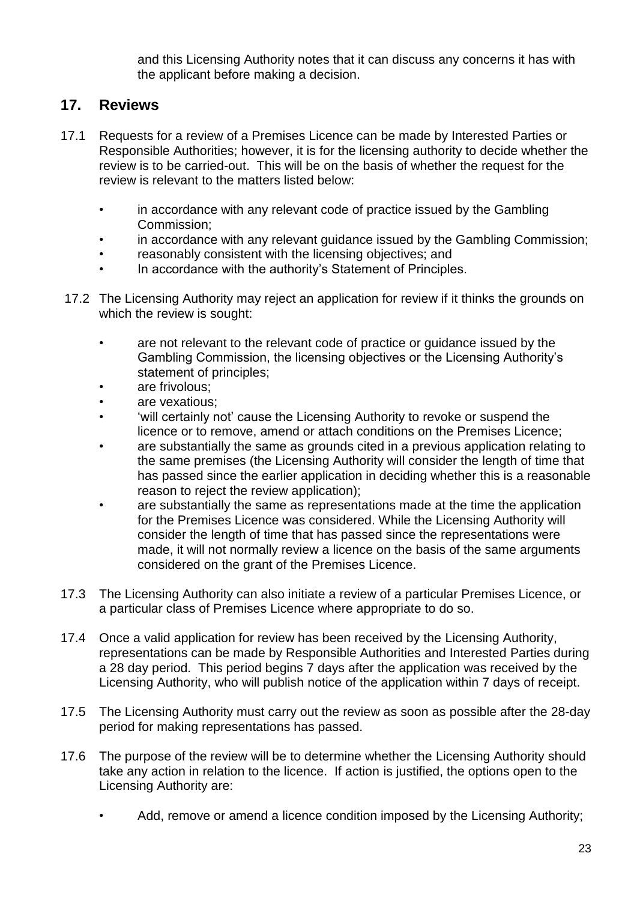and this Licensing Authority notes that it can discuss any concerns it has with the applicant before making a decision.

### **17. Reviews**

- 17.1 Requests for a review of a Premises Licence can be made by Interested Parties or Responsible Authorities; however, it is for the licensing authority to decide whether the review is to be carried-out. This will be on the basis of whether the request for the review is relevant to the matters listed below:
	- in accordance with any relevant code of practice issued by the Gambling Commission;
	- in accordance with any relevant guidance issued by the Gambling Commission;
	- reasonably consistent with the licensing objectives; and
	- In accordance with the authority's Statement of Principles.
- 17.2 The Licensing Authority may reject an application for review if it thinks the grounds on which the review is sought:
	- are not relevant to the relevant code of practice or guidance issued by the Gambling Commission, the licensing objectives or the Licensing Authority's statement of principles;
	- are frivolous:
	- are vexatious:
	- 'will certainly not' cause the Licensing Authority to revoke or suspend the licence or to remove, amend or attach conditions on the Premises Licence;
	- are substantially the same as grounds cited in a previous application relating to the same premises (the Licensing Authority will consider the length of time that has passed since the earlier application in deciding whether this is a reasonable reason to reject the review application);
	- are substantially the same as representations made at the time the application for the Premises Licence was considered. While the Licensing Authority will consider the length of time that has passed since the representations were made, it will not normally review a licence on the basis of the same arguments considered on the grant of the Premises Licence.
- 17.3 The Licensing Authority can also initiate a review of a particular Premises Licence, or a particular class of Premises Licence where appropriate to do so.
- 17.4 Once a valid application for review has been received by the Licensing Authority, representations can be made by Responsible Authorities and Interested Parties during a 28 day period. This period begins 7 days after the application was received by the Licensing Authority, who will publish notice of the application within 7 days of receipt.
- 17.5 The Licensing Authority must carry out the review as soon as possible after the 28-day period for making representations has passed.
- 17.6 The purpose of the review will be to determine whether the Licensing Authority should take any action in relation to the licence. If action is justified, the options open to the Licensing Authority are:
	- Add, remove or amend a licence condition imposed by the Licensing Authority;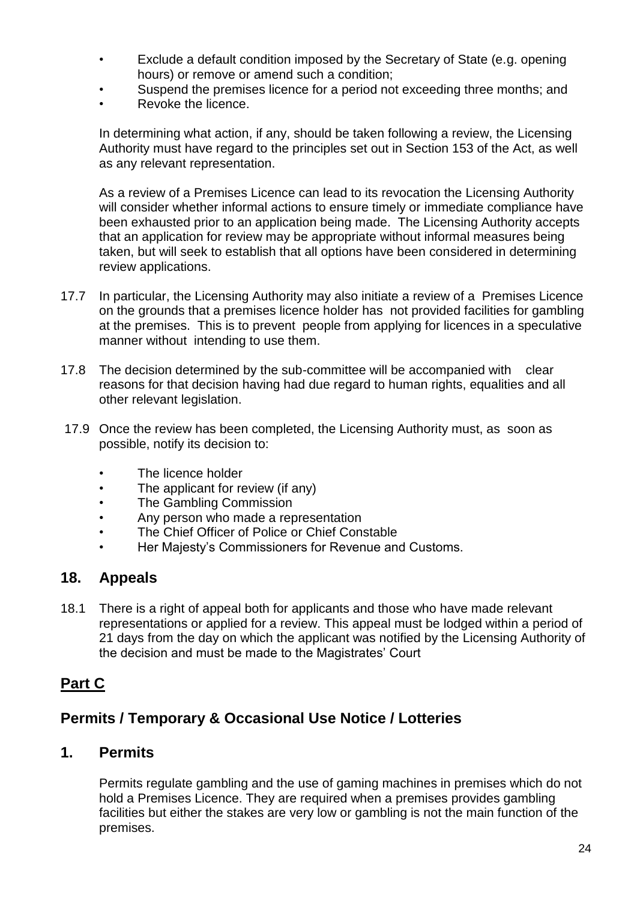- Exclude a default condition imposed by the Secretary of State (e.g. opening hours) or remove or amend such a condition;
- Suspend the premises licence for a period not exceeding three months; and
- Revoke the licence.

In determining what action, if any, should be taken following a review, the Licensing Authority must have regard to the principles set out in Section 153 of the Act, as well as any relevant representation.

As a review of a Premises Licence can lead to its revocation the Licensing Authority will consider whether informal actions to ensure timely or immediate compliance have been exhausted prior to an application being made. The Licensing Authority accepts that an application for review may be appropriate without informal measures being taken, but will seek to establish that all options have been considered in determining review applications.

- 17.7 In particular, the Licensing Authority may also initiate a review of a Premises Licence on the grounds that a premises licence holder has not provided facilities for gambling at the premises. This is to prevent people from applying for licences in a speculative manner without intending to use them.
- 17.8 The decision determined by the sub-committee will be accompanied with clear reasons for that decision having had due regard to human rights, equalities and all other relevant legislation.
- 17.9 Once the review has been completed, the Licensing Authority must, as soon as possible, notify its decision to:
	- The licence holder
	- The applicant for review (if any)
	- The Gambling Commission
	- Any person who made a representation
	- The Chief Officer of Police or Chief Constable
	- Her Majesty's Commissioners for Revenue and Customs.

### **18. Appeals**

18.1 There is a right of appeal both for applicants and those who have made relevant representations or applied for a review. This appeal must be lodged within a period of 21 days from the day on which the applicant was notified by the Licensing Authority of the decision and must be made to the Magistrates' Court

## **Part C**

## **Permits / Temporary & Occasional Use Notice / Lotteries**

#### **1. Permits**

Permits regulate gambling and the use of gaming machines in premises which do not hold a Premises Licence. They are required when a premises provides gambling facilities but either the stakes are very low or gambling is not the main function of the premises.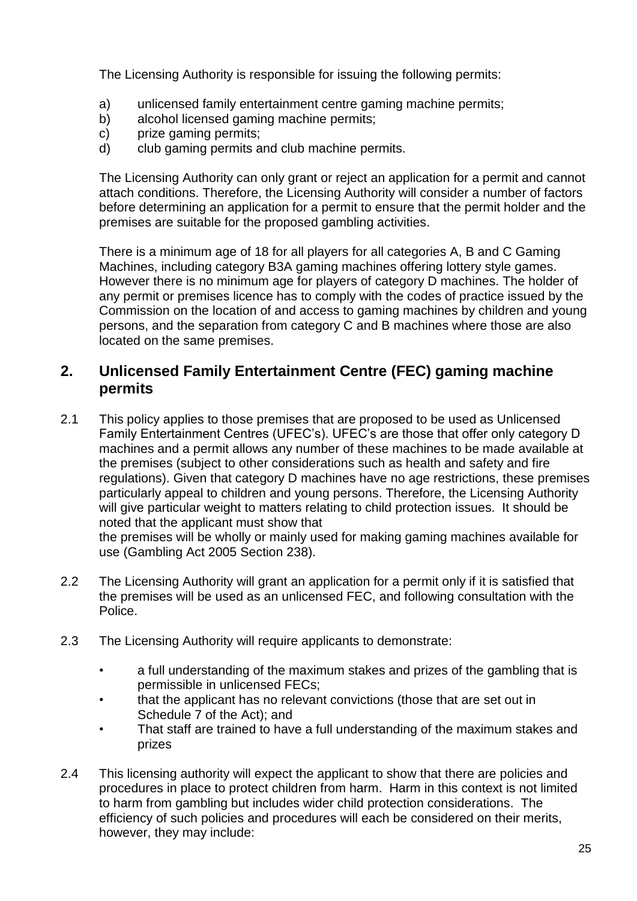The Licensing Authority is responsible for issuing the following permits:

- a) unlicensed family entertainment centre gaming machine permits;
- b) alcohol licensed gaming machine permits;
- c) prize gaming permits;
- d) club gaming permits and club machine permits.

The Licensing Authority can only grant or reject an application for a permit and cannot attach conditions. Therefore, the Licensing Authority will consider a number of factors before determining an application for a permit to ensure that the permit holder and the premises are suitable for the proposed gambling activities.

There is a minimum age of 18 for all players for all categories A, B and C Gaming Machines, including category B3A gaming machines offering lottery style games. However there is no minimum age for players of category D machines. The holder of any permit or premises licence has to comply with the codes of practice issued by the Commission on the location of and access to gaming machines by children and young persons, and the separation from category C and B machines where those are also located on the same premises.

### **2. Unlicensed Family Entertainment Centre (FEC) gaming machine permits**

2.1 This policy applies to those premises that are proposed to be used as Unlicensed Family Entertainment Centres (UFEC's). UFEC's are those that offer only category D machines and a permit allows any number of these machines to be made available at the premises (subject to other considerations such as health and safety and fire regulations). Given that category D machines have no age restrictions, these premises particularly appeal to children and young persons. Therefore, the Licensing Authority will give particular weight to matters relating to child protection issues. It should be noted that the applicant must show that

the premises will be wholly or mainly used for making gaming machines available for use (Gambling Act 2005 Section 238).

- 2.2 The Licensing Authority will grant an application for a permit only if it is satisfied that the premises will be used as an unlicensed FEC, and following consultation with the Police.
- 2.3 The Licensing Authority will require applicants to demonstrate:
	- a full understanding of the maximum stakes and prizes of the gambling that is permissible in unlicensed FECs;
	- that the applicant has no relevant convictions (those that are set out in Schedule 7 of the Act); and
	- That staff are trained to have a full understanding of the maximum stakes and prizes
- 2.4 This licensing authority will expect the applicant to show that there are policies and procedures in place to protect children from harm. Harm in this context is not limited to harm from gambling but includes wider child protection considerations. The efficiency of such policies and procedures will each be considered on their merits, however, they may include: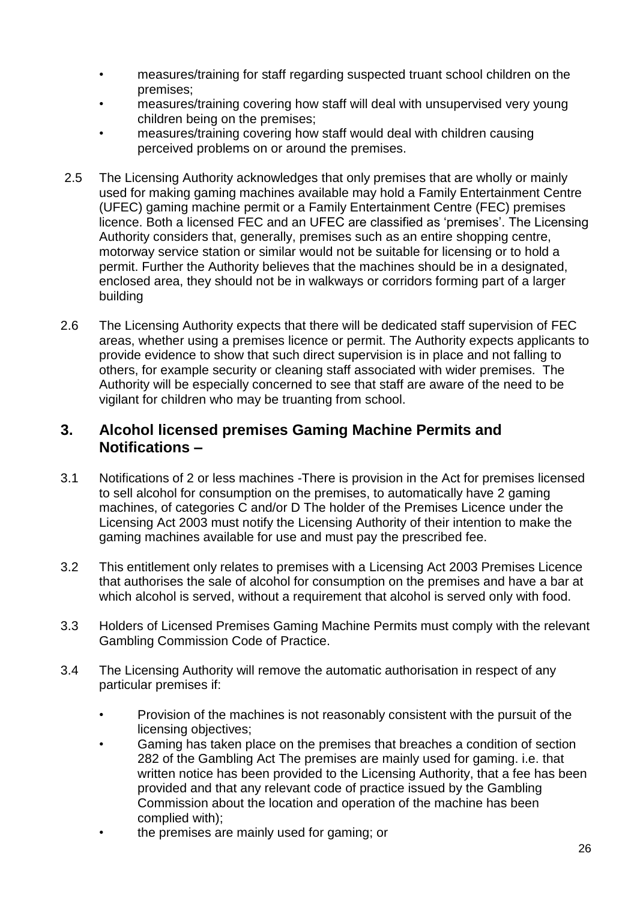- measures/training for staff regarding suspected truant school children on the premises;
- measures/training covering how staff will deal with unsupervised very young children being on the premises;
- measures/training covering how staff would deal with children causing perceived problems on or around the premises.
- 2.5 The Licensing Authority acknowledges that only premises that are wholly or mainly used for making gaming machines available may hold a Family Entertainment Centre (UFEC) gaming machine permit or a Family Entertainment Centre (FEC) premises licence. Both a licensed FEC and an UFEC are classified as 'premises'. The Licensing Authority considers that, generally, premises such as an entire shopping centre, motorway service station or similar would not be suitable for licensing or to hold a permit. Further the Authority believes that the machines should be in a designated, enclosed area, they should not be in walkways or corridors forming part of a larger building
- 2.6 The Licensing Authority expects that there will be dedicated staff supervision of FEC areas, whether using a premises licence or permit. The Authority expects applicants to provide evidence to show that such direct supervision is in place and not falling to others, for example security or cleaning staff associated with wider premises. The Authority will be especially concerned to see that staff are aware of the need to be vigilant for children who may be truanting from school.

#### **3. Alcohol licensed premises Gaming Machine Permits and Notifications –**

- 3.1 Notifications of 2 or less machines -There is provision in the Act for premises licensed to sell alcohol for consumption on the premises, to automatically have 2 gaming machines, of categories C and/or D The holder of the Premises Licence under the Licensing Act 2003 must notify the Licensing Authority of their intention to make the gaming machines available for use and must pay the prescribed fee.
- 3.2 This entitlement only relates to premises with a Licensing Act 2003 Premises Licence that authorises the sale of alcohol for consumption on the premises and have a bar at which alcohol is served, without a requirement that alcohol is served only with food.
- 3.3 Holders of Licensed Premises Gaming Machine Permits must comply with the relevant Gambling Commission Code of Practice.
- 3.4 The Licensing Authority will remove the automatic authorisation in respect of any particular premises if:
	- Provision of the machines is not reasonably consistent with the pursuit of the licensing objectives;
	- Gaming has taken place on the premises that breaches a condition of section 282 of the Gambling Act The premises are mainly used for gaming. i.e. that written notice has been provided to the Licensing Authority, that a fee has been provided and that any relevant code of practice issued by the Gambling Commission about the location and operation of the machine has been complied with);
	- the premises are mainly used for gaming; or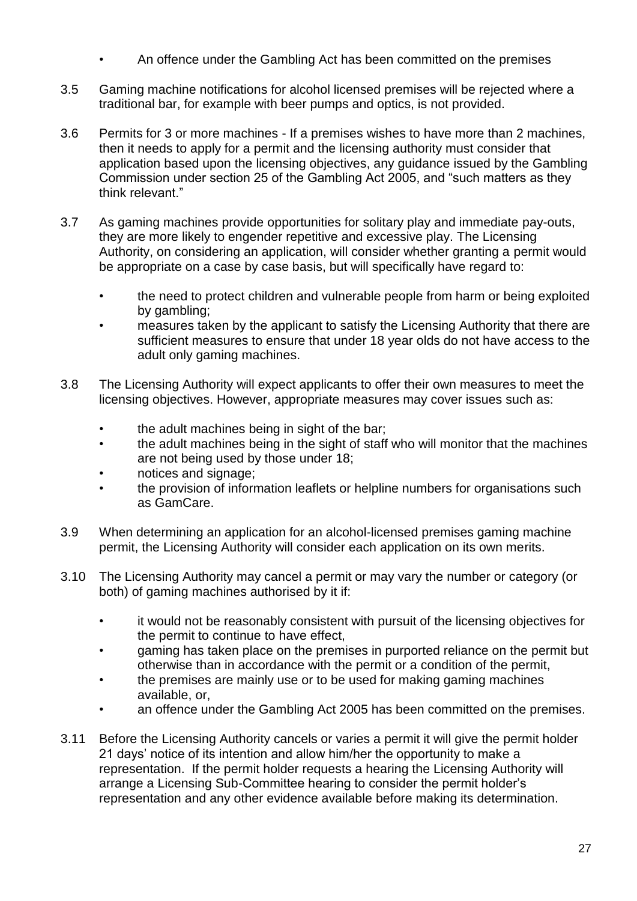- An offence under the Gambling Act has been committed on the premises
- 3.5 Gaming machine notifications for alcohol licensed premises will be rejected where a traditional bar, for example with beer pumps and optics, is not provided.
- 3.6 Permits for 3 or more machines If a premises wishes to have more than 2 machines, then it needs to apply for a permit and the licensing authority must consider that application based upon the licensing objectives, any guidance issued by the Gambling Commission under section 25 of the Gambling Act 2005, and "such matters as they think relevant."
- 3.7 As gaming machines provide opportunities for solitary play and immediate pay-outs, they are more likely to engender repetitive and excessive play. The Licensing Authority, on considering an application, will consider whether granting a permit would be appropriate on a case by case basis, but will specifically have regard to:
	- the need to protect children and vulnerable people from harm or being exploited by gambling;
	- measures taken by the applicant to satisfy the Licensing Authority that there are sufficient measures to ensure that under 18 year olds do not have access to the adult only gaming machines.
- 3.8 The Licensing Authority will expect applicants to offer their own measures to meet the licensing objectives. However, appropriate measures may cover issues such as:
	- the adult machines being in sight of the bar;
	- the adult machines being in the sight of staff who will monitor that the machines are not being used by those under 18;
	- notices and signage;
	- the provision of information leaflets or helpline numbers for organisations such as GamCare.
- 3.9 When determining an application for an alcohol-licensed premises gaming machine permit, the Licensing Authority will consider each application on its own merits.
- 3.10 The Licensing Authority may cancel a permit or may vary the number or category (or both) of gaming machines authorised by it if:
	- it would not be reasonably consistent with pursuit of the licensing objectives for the permit to continue to have effect,
	- gaming has taken place on the premises in purported reliance on the permit but otherwise than in accordance with the permit or a condition of the permit,
	- the premises are mainly use or to be used for making gaming machines available, or,
	- an offence under the Gambling Act 2005 has been committed on the premises.
- 3.11 Before the Licensing Authority cancels or varies a permit it will give the permit holder 21 days' notice of its intention and allow him/her the opportunity to make a representation. If the permit holder requests a hearing the Licensing Authority will arrange a Licensing Sub-Committee hearing to consider the permit holder's representation and any other evidence available before making its determination.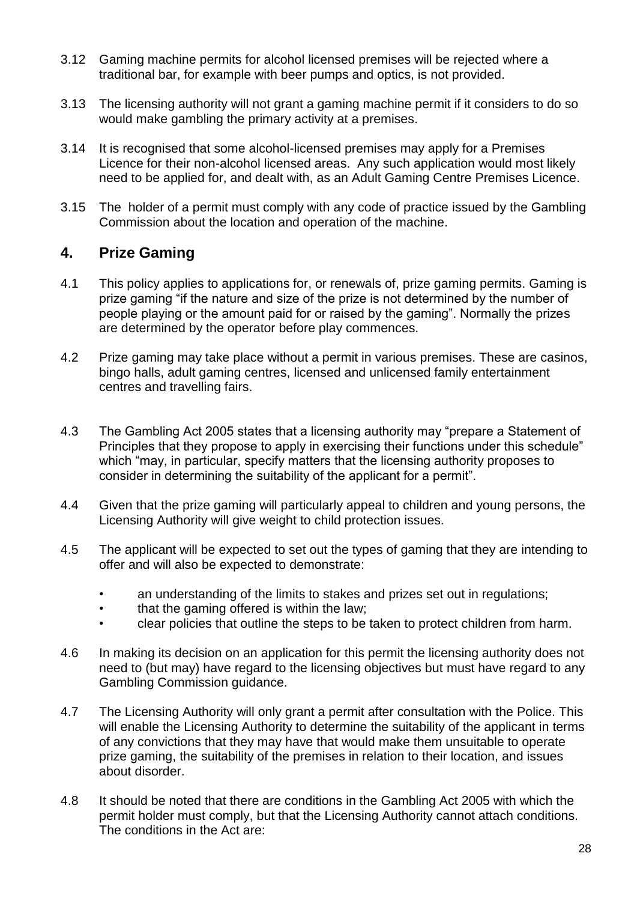- 3.12 Gaming machine permits for alcohol licensed premises will be rejected where a traditional bar, for example with beer pumps and optics, is not provided.
- 3.13 The licensing authority will not grant a gaming machine permit if it considers to do so would make gambling the primary activity at a premises.
- 3.14 It is recognised that some alcohol-licensed premises may apply for a Premises Licence for their non-alcohol licensed areas. Any such application would most likely need to be applied for, and dealt with, as an Adult Gaming Centre Premises Licence.
- 3.15 The holder of a permit must comply with any code of practice issued by the Gambling Commission about the location and operation of the machine.

### **4. Prize Gaming**

- 4.1 This policy applies to applications for, or renewals of, prize gaming permits. Gaming is prize gaming "if the nature and size of the prize is not determined by the number of people playing or the amount paid for or raised by the gaming". Normally the prizes are determined by the operator before play commences.
- 4.2 Prize gaming may take place without a permit in various premises. These are casinos, bingo halls, adult gaming centres, licensed and unlicensed family entertainment centres and travelling fairs.
- 4.3 The Gambling Act 2005 states that a licensing authority may "prepare a Statement of Principles that they propose to apply in exercising their functions under this schedule" which "may, in particular, specify matters that the licensing authority proposes to consider in determining the suitability of the applicant for a permit".
- 4.4 Given that the prize gaming will particularly appeal to children and young persons, the Licensing Authority will give weight to child protection issues.
- 4.5 The applicant will be expected to set out the types of gaming that they are intending to offer and will also be expected to demonstrate:
	- an understanding of the limits to stakes and prizes set out in regulations;
	- that the gaming offered is within the law;
	- clear policies that outline the steps to be taken to protect children from harm.
- 4.6 In making its decision on an application for this permit the licensing authority does not need to (but may) have regard to the licensing objectives but must have regard to any Gambling Commission guidance.
- 4.7 The Licensing Authority will only grant a permit after consultation with the Police. This will enable the Licensing Authority to determine the suitability of the applicant in terms of any convictions that they may have that would make them unsuitable to operate prize gaming, the suitability of the premises in relation to their location, and issues about disorder.
- 4.8 It should be noted that there are conditions in the Gambling Act 2005 with which the permit holder must comply, but that the Licensing Authority cannot attach conditions. The conditions in the Act are: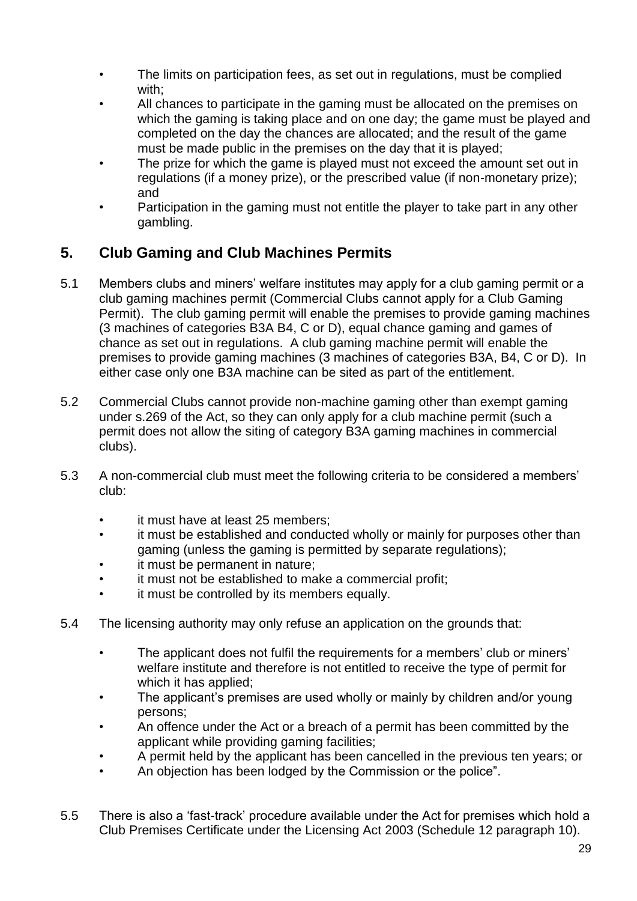- The limits on participation fees, as set out in regulations, must be complied with:
- All chances to participate in the gaming must be allocated on the premises on which the gaming is taking place and on one day; the game must be played and completed on the day the chances are allocated; and the result of the game must be made public in the premises on the day that it is played;
- The prize for which the game is played must not exceed the amount set out in regulations (if a money prize), or the prescribed value (if non-monetary prize); and
- Participation in the gaming must not entitle the player to take part in any other gambling.

## **5. Club Gaming and Club Machines Permits**

- 5.1 Members clubs and miners' welfare institutes may apply for a club gaming permit or a club gaming machines permit (Commercial Clubs cannot apply for a Club Gaming Permit). The club gaming permit will enable the premises to provide gaming machines (3 machines of categories B3A B4, C or D), equal chance gaming and games of chance as set out in regulations. A club gaming machine permit will enable the premises to provide gaming machines (3 machines of categories B3A, B4, C or D). In either case only one B3A machine can be sited as part of the entitlement.
- 5.2 Commercial Clubs cannot provide non-machine gaming other than exempt gaming under s.269 of the Act, so they can only apply for a club machine permit (such a permit does not allow the siting of category B3A gaming machines in commercial clubs).
- 5.3 A non-commercial club must meet the following criteria to be considered a members' club:
	- it must have at least 25 members:
	- it must be established and conducted wholly or mainly for purposes other than gaming (unless the gaming is permitted by separate regulations);
	- it must be permanent in nature;
	- it must not be established to make a commercial profit:
	- it must be controlled by its members equally.
- 5.4 The licensing authority may only refuse an application on the grounds that:
	- The applicant does not fulfil the requirements for a members' club or miners' welfare institute and therefore is not entitled to receive the type of permit for which it has applied;
	- The applicant's premises are used wholly or mainly by children and/or young persons;
	- An offence under the Act or a breach of a permit has been committed by the applicant while providing gaming facilities;
	- A permit held by the applicant has been cancelled in the previous ten years; or
	- An objection has been lodged by the Commission or the police".
- 5.5 There is also a 'fast-track' procedure available under the Act for premises which hold a Club Premises Certificate under the Licensing Act 2003 (Schedule 12 paragraph 10).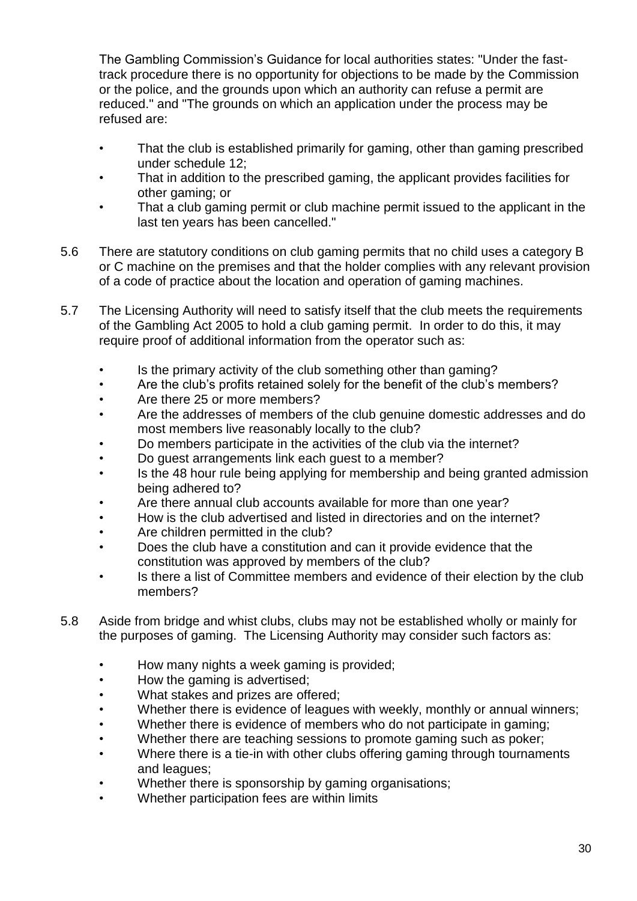The Gambling Commission's Guidance for local authorities states: "Under the fasttrack procedure there is no opportunity for objections to be made by the Commission or the police, and the grounds upon which an authority can refuse a permit are reduced." and "The grounds on which an application under the process may be refused are:

- That the club is established primarily for gaming, other than gaming prescribed under schedule 12;
- That in addition to the prescribed gaming, the applicant provides facilities for other gaming; or
- That a club gaming permit or club machine permit issued to the applicant in the last ten years has been cancelled."
- 5.6 There are statutory conditions on club gaming permits that no child uses a category B or C machine on the premises and that the holder complies with any relevant provision of a code of practice about the location and operation of gaming machines.
- 5.7 The Licensing Authority will need to satisfy itself that the club meets the requirements of the Gambling Act 2005 to hold a club gaming permit. In order to do this, it may require proof of additional information from the operator such as:
	- Is the primary activity of the club something other than gaming?
	- Are the club's profits retained solely for the benefit of the club's members?
	- Are there 25 or more members?
	- Are the addresses of members of the club genuine domestic addresses and do most members live reasonably locally to the club?
	- Do members participate in the activities of the club via the internet?
	- Do guest arrangements link each guest to a member?
	- Is the 48 hour rule being applying for membership and being granted admission being adhered to?
	- Are there annual club accounts available for more than one year?
	- How is the club advertised and listed in directories and on the internet?
	- Are children permitted in the club?
	- Does the club have a constitution and can it provide evidence that the constitution was approved by members of the club?
	- Is there a list of Committee members and evidence of their election by the club members?
- 5.8 Aside from bridge and whist clubs, clubs may not be established wholly or mainly for the purposes of gaming. The Licensing Authority may consider such factors as:
	- How many nights a week gaming is provided;
	- How the gaming is advertised;
	- What stakes and prizes are offered;
	- Whether there is evidence of leagues with weekly, monthly or annual winners;
	- Whether there is evidence of members who do not participate in gaming;
	- Whether there are teaching sessions to promote gaming such as poker;
	- Where there is a tie-in with other clubs offering gaming through tournaments and leagues;
	- Whether there is sponsorship by gaming organisations;
	- Whether participation fees are within limits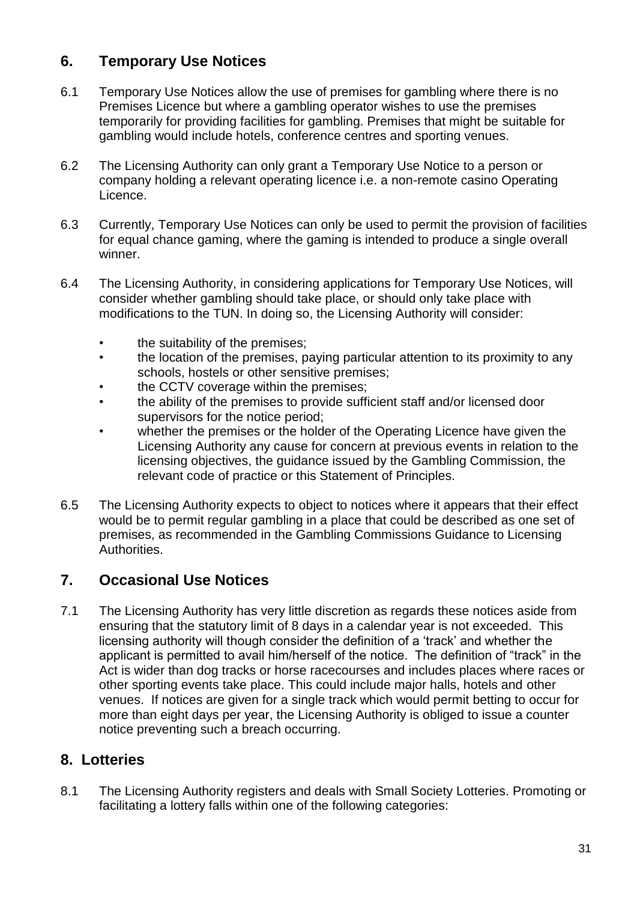## **6. Temporary Use Notices**

- 6.1 Temporary Use Notices allow the use of premises for gambling where there is no Premises Licence but where a gambling operator wishes to use the premises temporarily for providing facilities for gambling. Premises that might be suitable for gambling would include hotels, conference centres and sporting venues.
- 6.2 The Licensing Authority can only grant a Temporary Use Notice to a person or company holding a relevant operating licence i.e. a non-remote casino Operating Licence.
- 6.3 Currently, Temporary Use Notices can only be used to permit the provision of facilities for equal chance gaming, where the gaming is intended to produce a single overall winner.
- 6.4 The Licensing Authority, in considering applications for Temporary Use Notices, will consider whether gambling should take place, or should only take place with modifications to the TUN. In doing so, the Licensing Authority will consider:
	- the suitability of the premises;
	- the location of the premises, paying particular attention to its proximity to any schools, hostels or other sensitive premises;
	- the CCTV coverage within the premises;
	- the ability of the premises to provide sufficient staff and/or licensed door supervisors for the notice period;
	- whether the premises or the holder of the Operating Licence have given the Licensing Authority any cause for concern at previous events in relation to the licensing objectives, the guidance issued by the Gambling Commission, the relevant code of practice or this Statement of Principles.
- 6.5 The Licensing Authority expects to object to notices where it appears that their effect would be to permit regular gambling in a place that could be described as one set of premises, as recommended in the Gambling Commissions Guidance to Licensing Authorities.

### **7. Occasional Use Notices**

7.1 The Licensing Authority has very little discretion as regards these notices aside from ensuring that the statutory limit of 8 days in a calendar year is not exceeded. This licensing authority will though consider the definition of a 'track' and whether the applicant is permitted to avail him/herself of the notice. The definition of "track" in the Act is wider than dog tracks or horse racecourses and includes places where races or other sporting events take place. This could include major halls, hotels and other venues. If notices are given for a single track which would permit betting to occur for more than eight days per year, the Licensing Authority is obliged to issue a counter notice preventing such a breach occurring.

### **8. Lotteries**

8.1 The Licensing Authority registers and deals with Small Society Lotteries. Promoting or facilitating a lottery falls within one of the following categories: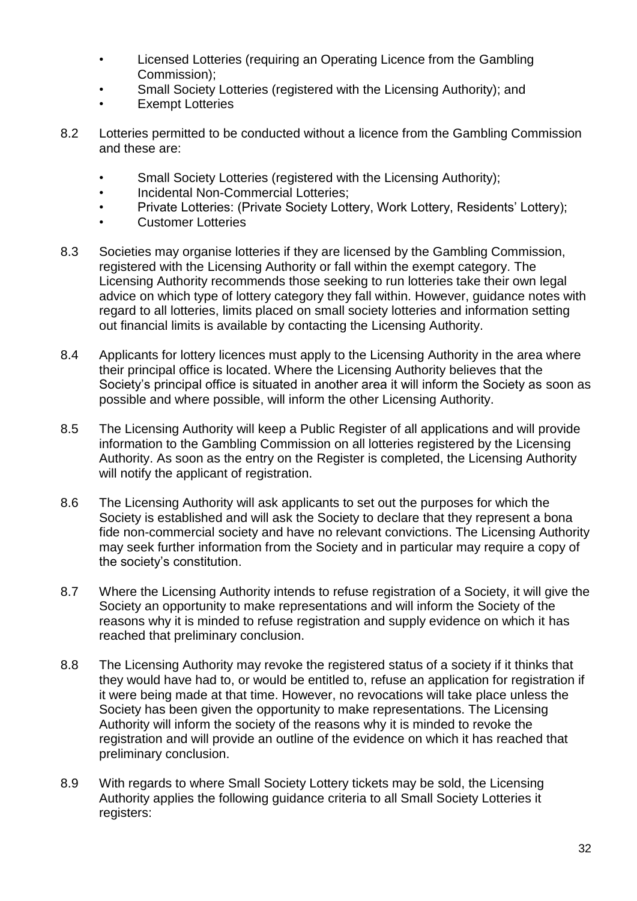- Licensed Lotteries (requiring an Operating Licence from the Gambling Commission);
- Small Society Lotteries (registered with the Licensing Authority); and
- Exempt Lotteries
- 8.2 Lotteries permitted to be conducted without a licence from the Gambling Commission and these are:
	- Small Society Lotteries (registered with the Licensing Authority);
	- Incidental Non-Commercial Lotteries;
	- Private Lotteries: (Private Society Lottery, Work Lottery, Residents' Lottery);
	- Customer Lotteries
- 8.3 Societies may organise lotteries if they are licensed by the Gambling Commission, registered with the Licensing Authority or fall within the exempt category. The Licensing Authority recommends those seeking to run lotteries take their own legal advice on which type of lottery category they fall within. However, guidance notes with regard to all lotteries, limits placed on small society lotteries and information setting out financial limits is available by contacting the Licensing Authority.
- 8.4 Applicants for lottery licences must apply to the Licensing Authority in the area where their principal office is located. Where the Licensing Authority believes that the Society's principal office is situated in another area it will inform the Society as soon as possible and where possible, will inform the other Licensing Authority.
- 8.5 The Licensing Authority will keep a Public Register of all applications and will provide information to the Gambling Commission on all lotteries registered by the Licensing Authority. As soon as the entry on the Register is completed, the Licensing Authority will notify the applicant of registration.
- 8.6 The Licensing Authority will ask applicants to set out the purposes for which the Society is established and will ask the Society to declare that they represent a bona fide non-commercial society and have no relevant convictions. The Licensing Authority may seek further information from the Society and in particular may require a copy of the society's constitution.
- 8.7 Where the Licensing Authority intends to refuse registration of a Society, it will give the Society an opportunity to make representations and will inform the Society of the reasons why it is minded to refuse registration and supply evidence on which it has reached that preliminary conclusion.
- 8.8 The Licensing Authority may revoke the registered status of a society if it thinks that they would have had to, or would be entitled to, refuse an application for registration if it were being made at that time. However, no revocations will take place unless the Society has been given the opportunity to make representations. The Licensing Authority will inform the society of the reasons why it is minded to revoke the registration and will provide an outline of the evidence on which it has reached that preliminary conclusion.
- 8.9 With regards to where Small Society Lottery tickets may be sold, the Licensing Authority applies the following guidance criteria to all Small Society Lotteries it registers: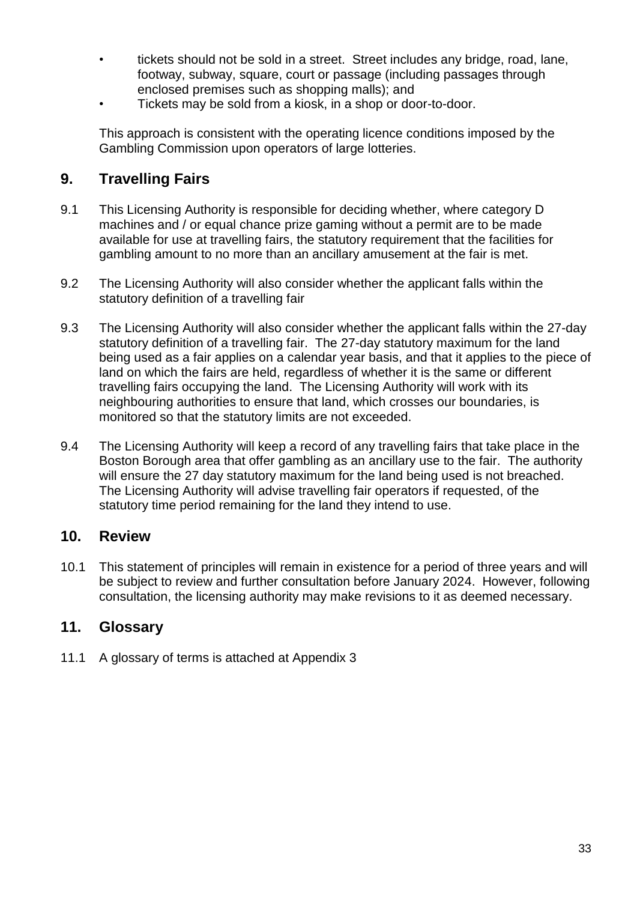- tickets should not be sold in a street. Street includes any bridge, road, lane, footway, subway, square, court or passage (including passages through enclosed premises such as shopping malls); and
- Tickets may be sold from a kiosk, in a shop or door-to-door.

This approach is consistent with the operating licence conditions imposed by the Gambling Commission upon operators of large lotteries.

#### **9. Travelling Fairs**

- 9.1 This Licensing Authority is responsible for deciding whether, where category D machines and / or equal chance prize gaming without a permit are to be made available for use at travelling fairs, the statutory requirement that the facilities for gambling amount to no more than an ancillary amusement at the fair is met.
- 9.2 The Licensing Authority will also consider whether the applicant falls within the statutory definition of a travelling fair
- 9.3 The Licensing Authority will also consider whether the applicant falls within the 27-day statutory definition of a travelling fair. The 27-day statutory maximum for the land being used as a fair applies on a calendar year basis, and that it applies to the piece of land on which the fairs are held, regardless of whether it is the same or different travelling fairs occupying the land. The Licensing Authority will work with its neighbouring authorities to ensure that land, which crosses our boundaries, is monitored so that the statutory limits are not exceeded.
- 9.4 The Licensing Authority will keep a record of any travelling fairs that take place in the Boston Borough area that offer gambling as an ancillary use to the fair. The authority will ensure the 27 day statutory maximum for the land being used is not breached. The Licensing Authority will advise travelling fair operators if requested, of the statutory time period remaining for the land they intend to use.

#### **10. Review**

10.1 This statement of principles will remain in existence for a period of three years and will be subject to review and further consultation before January 2024. However, following consultation, the licensing authority may make revisions to it as deemed necessary.

#### **11. Glossary**

11.1 A glossary of terms is attached at Appendix 3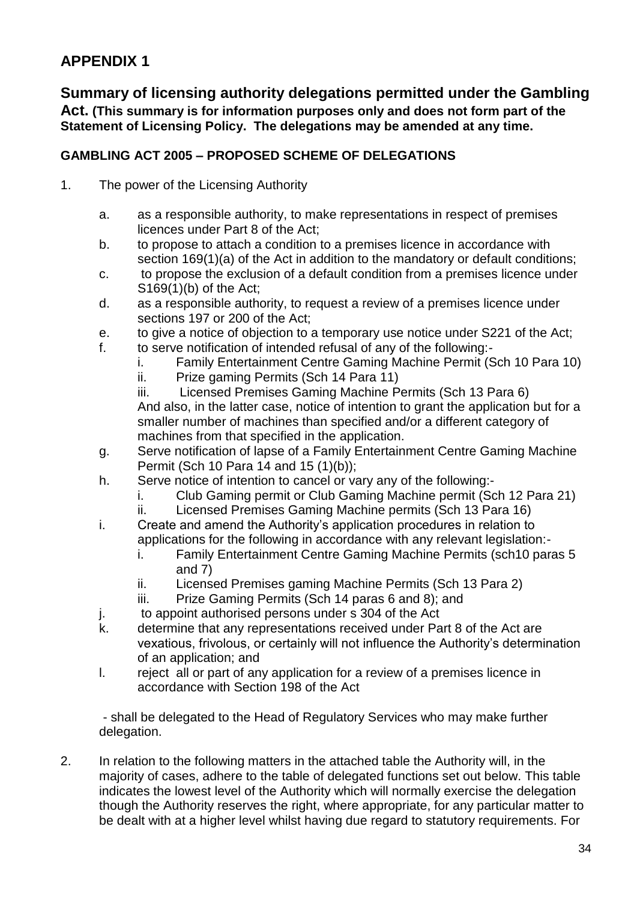## **APPENDIX 1**

**Summary of licensing authority delegations permitted under the Gambling Act. (This summary is for information purposes only and does not form part of the Statement of Licensing Policy. The delegations may be amended at any time.** 

#### **GAMBLING ACT 2005 – PROPOSED SCHEME OF DELEGATIONS**

- 1. The power of the Licensing Authority
	- a. as a responsible authority, to make representations in respect of premises licences under Part 8 of the Act;
	- b. to propose to attach a condition to a premises licence in accordance with section 169(1)(a) of the Act in addition to the mandatory or default conditions;
	- c. to propose the exclusion of a default condition from a premises licence under S169(1)(b) of the Act;
	- d. as a responsible authority, to request a review of a premises licence under sections 197 or 200 of the Act;
	- e. to give a notice of objection to a temporary use notice under S221 of the Act;
	- f. to serve notification of intended refusal of any of the following:
		- i. Family Entertainment Centre Gaming Machine Permit (Sch 10 Para 10)
		- ii. Prize gaming Permits (Sch 14 Para 11)

iii. Licensed Premises Gaming Machine Permits (Sch 13 Para 6) And also, in the latter case, notice of intention to grant the application but for a smaller number of machines than specified and/or a different category of machines from that specified in the application.

- g. Serve notification of lapse of a Family Entertainment Centre Gaming Machine Permit (Sch 10 Para 14 and 15 (1)(b));
- h. Serve notice of intention to cancel or vary any of the following:
	- i. Club Gaming permit or Club Gaming Machine permit (Sch 12 Para 21)
	- ii. Licensed Premises Gaming Machine permits (Sch 13 Para 16)
- i. Create and amend the Authority's application procedures in relation to applications for the following in accordance with any relevant legislation:
	- i. Family Entertainment Centre Gaming Machine Permits (sch10 paras 5 and 7)
	- ii. Licensed Premises gaming Machine Permits (Sch 13 Para 2)
	- iii. Prize Gaming Permits (Sch 14 paras 6 and 8); and
- j. to appoint authorised persons under s 304 of the Act
- k. determine that any representations received under Part 8 of the Act are vexatious, frivolous, or certainly will not influence the Authority's determination of an application; and
- l. reject all or part of any application for a review of a premises licence in accordance with Section 198 of the Act

- shall be delegated to the Head of Regulatory Services who may make further delegation.

2. In relation to the following matters in the attached table the Authority will, in the majority of cases, adhere to the table of delegated functions set out below. This table indicates the lowest level of the Authority which will normally exercise the delegation though the Authority reserves the right, where appropriate, for any particular matter to be dealt with at a higher level whilst having due regard to statutory requirements. For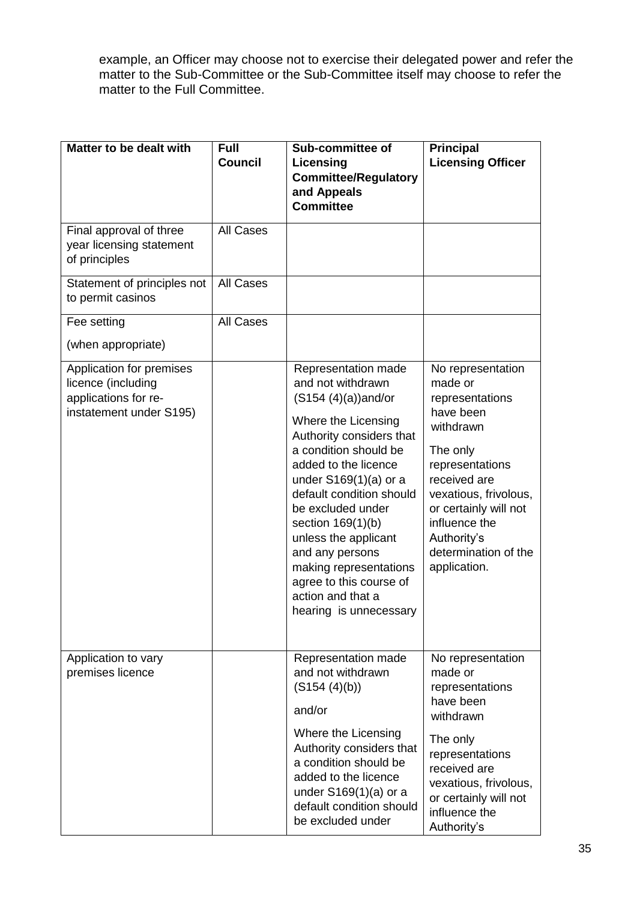example, an Officer may choose not to exercise their delegated power and refer the matter to the Sub-Committee or the Sub-Committee itself may choose to refer the matter to the Full Committee.

| Matter to be dealt with                                                                           | <b>Full</b><br><b>Council</b> | Sub-committee of<br>Licensing<br><b>Committee/Regulatory</b><br>and Appeals<br><b>Committee</b>                                                                                                                                                                                                                                                                                                                        | <b>Principal</b><br><b>Licensing Officer</b>                                                                                                                                                                                                       |
|---------------------------------------------------------------------------------------------------|-------------------------------|------------------------------------------------------------------------------------------------------------------------------------------------------------------------------------------------------------------------------------------------------------------------------------------------------------------------------------------------------------------------------------------------------------------------|----------------------------------------------------------------------------------------------------------------------------------------------------------------------------------------------------------------------------------------------------|
| Final approval of three<br>year licensing statement<br>of principles                              | <b>All Cases</b>              |                                                                                                                                                                                                                                                                                                                                                                                                                        |                                                                                                                                                                                                                                                    |
| Statement of principles not<br>to permit casinos                                                  | <b>All Cases</b>              |                                                                                                                                                                                                                                                                                                                                                                                                                        |                                                                                                                                                                                                                                                    |
| Fee setting<br>(when appropriate)                                                                 | <b>All Cases</b>              |                                                                                                                                                                                                                                                                                                                                                                                                                        |                                                                                                                                                                                                                                                    |
| Application for premises<br>licence (including<br>applications for re-<br>instatement under S195) |                               | Representation made<br>and not withdrawn<br>$(S154 (4)(a))$ and/or<br>Where the Licensing<br>Authority considers that<br>a condition should be<br>added to the licence<br>under $S169(1)(a)$ or a<br>default condition should<br>be excluded under<br>section 169(1)(b)<br>unless the applicant<br>and any persons<br>making representations<br>agree to this course of<br>action and that a<br>hearing is unnecessary | No representation<br>made or<br>representations<br>have been<br>withdrawn<br>The only<br>representations<br>received are<br>vexatious, frivolous,<br>or certainly will not<br>influence the<br>Authority's<br>determination of the<br>application. |
| Application to vary<br>premises licence                                                           |                               | Representation made<br>and not withdrawn<br>(S154 (4)(b))<br>and/or<br>Where the Licensing<br>Authority considers that<br>a condition should be<br>added to the licence<br>under $S169(1)(a)$ or a<br>default condition should<br>be excluded under                                                                                                                                                                    | No representation<br>made or<br>representations<br>have been<br>withdrawn<br>The only<br>representations<br>received are<br>vexatious, frivolous,<br>or certainly will not<br>influence the<br>Authority's                                         |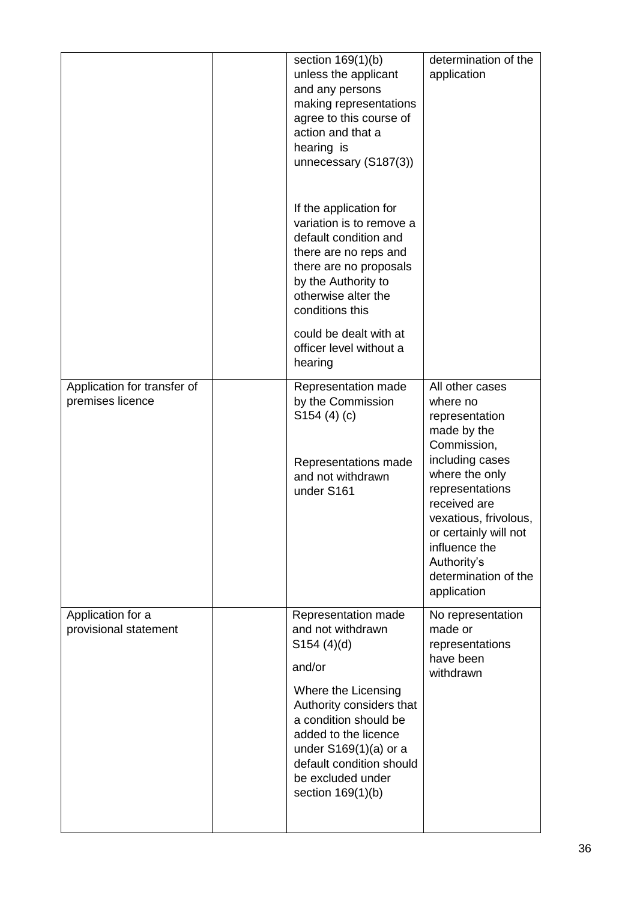|                                                 | section 169(1)(b)<br>unless the applicant<br>and any persons<br>making representations<br>agree to this course of<br>action and that a<br>hearing is<br>unnecessary (S187(3))                                                                                         | determination of the<br>application                                                                                                                                                                                                                                          |
|-------------------------------------------------|-----------------------------------------------------------------------------------------------------------------------------------------------------------------------------------------------------------------------------------------------------------------------|------------------------------------------------------------------------------------------------------------------------------------------------------------------------------------------------------------------------------------------------------------------------------|
|                                                 | If the application for<br>variation is to remove a<br>default condition and<br>there are no reps and<br>there are no proposals<br>by the Authority to<br>otherwise alter the<br>conditions this                                                                       |                                                                                                                                                                                                                                                                              |
|                                                 | could be dealt with at<br>officer level without a<br>hearing                                                                                                                                                                                                          |                                                                                                                                                                                                                                                                              |
| Application for transfer of<br>premises licence | Representation made<br>by the Commission<br>S154(4)(c)<br>Representations made<br>and not withdrawn<br>under S161                                                                                                                                                     | All other cases<br>where no<br>representation<br>made by the<br>Commission,<br>including cases<br>where the only<br>representations<br>received are<br>vexatious, frivolous,<br>or certainly will not<br>influence the<br>Authority's<br>determination of the<br>application |
| Application for a<br>provisional statement      | Representation made<br>and not withdrawn<br>S154(4)(d)<br>and/or<br>Where the Licensing<br>Authority considers that<br>a condition should be<br>added to the licence<br>under $S169(1)(a)$ or a<br>default condition should<br>be excluded under<br>section 169(1)(b) | No representation<br>made or<br>representations<br>have been<br>withdrawn                                                                                                                                                                                                    |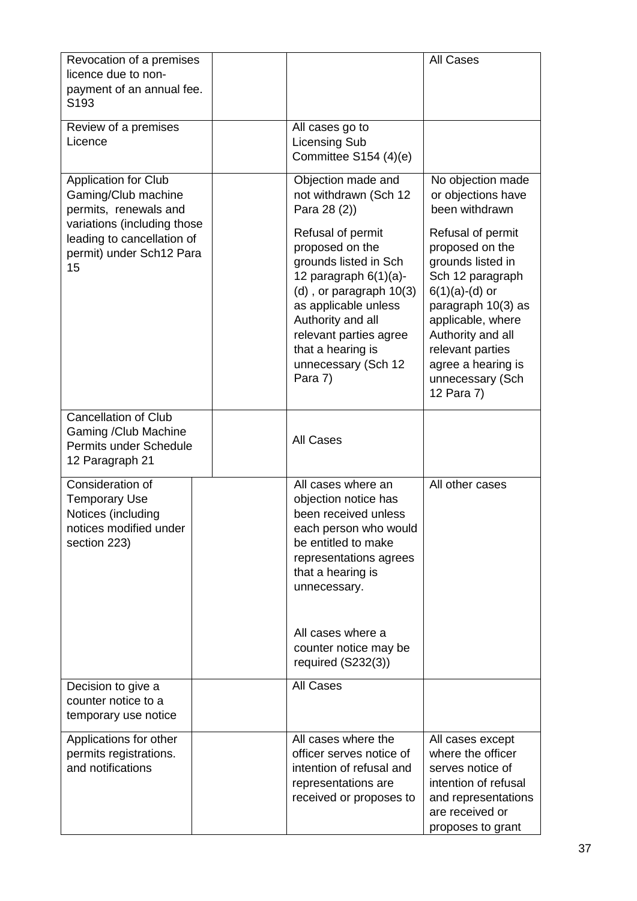| Revocation of a premises<br>licence due to non-<br>payment of an annual fee.<br>S <sub>193</sub>                                                                           |                                                                                                                                                                                                                                       | <b>All Cases</b>                                                                                                                                                                                          |
|----------------------------------------------------------------------------------------------------------------------------------------------------------------------------|---------------------------------------------------------------------------------------------------------------------------------------------------------------------------------------------------------------------------------------|-----------------------------------------------------------------------------------------------------------------------------------------------------------------------------------------------------------|
| Review of a premises<br>Licence                                                                                                                                            | All cases go to<br><b>Licensing Sub</b><br>Committee S154 (4)(e)                                                                                                                                                                      |                                                                                                                                                                                                           |
| <b>Application for Club</b><br>Gaming/Club machine<br>permits, renewals and<br>variations (including those<br>leading to cancellation of<br>permit) under Sch12 Para<br>15 | Objection made and<br>not withdrawn (Sch 12<br>Para 28 (2))<br>Refusal of permit<br>proposed on the<br>grounds listed in Sch<br>12 paragraph $6(1)(a)$ -<br>$(d)$ , or paragraph $10(3)$<br>as applicable unless<br>Authority and all | No objection made<br>or objections have<br>been withdrawn<br>Refusal of permit<br>proposed on the<br>grounds listed in<br>Sch 12 paragraph<br>$6(1)(a)-(d)$ or<br>paragraph 10(3) as<br>applicable, where |
|                                                                                                                                                                            | relevant parties agree<br>that a hearing is<br>unnecessary (Sch 12<br>Para 7)                                                                                                                                                         | Authority and all<br>relevant parties<br>agree a hearing is<br>unnecessary (Sch<br>12 Para 7)                                                                                                             |
| <b>Cancellation of Club</b><br>Gaming / Club Machine<br>Permits under Schedule<br>12 Paragraph 21                                                                          | <b>All Cases</b>                                                                                                                                                                                                                      |                                                                                                                                                                                                           |
| Consideration of<br><b>Temporary Use</b><br>Notices (including<br>notices modified under<br>section 223)                                                                   | All cases where an<br>objection notice has<br>been received unless<br>each person who would<br>be entitled to make<br>representations agrees<br>that a hearing is<br>unnecessary.                                                     | All other cases                                                                                                                                                                                           |
|                                                                                                                                                                            | All cases where a<br>counter notice may be<br>required $(S232(3))$                                                                                                                                                                    |                                                                                                                                                                                                           |
| Decision to give a<br>counter notice to a<br>temporary use notice                                                                                                          | <b>All Cases</b>                                                                                                                                                                                                                      |                                                                                                                                                                                                           |
| Applications for other<br>permits registrations.<br>and notifications                                                                                                      | All cases where the<br>officer serves notice of<br>intention of refusal and<br>representations are<br>received or proposes to                                                                                                         | All cases except<br>where the officer<br>serves notice of<br>intention of refusal<br>and representations<br>are received or<br>proposes to grant                                                          |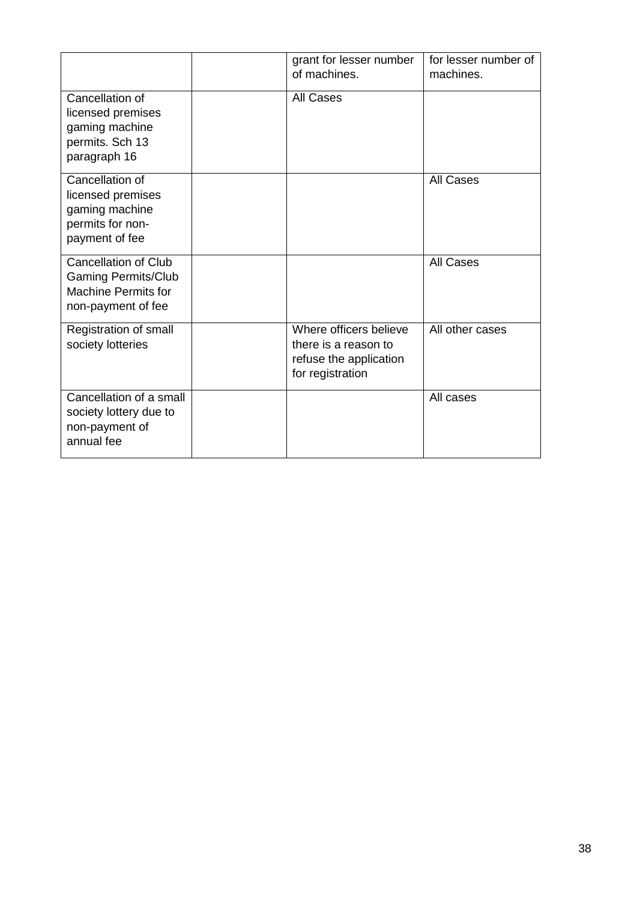|                                                                                                               | grant for lesser number<br>of machines.                                                      | for lesser number of<br>machines. |
|---------------------------------------------------------------------------------------------------------------|----------------------------------------------------------------------------------------------|-----------------------------------|
| Cancellation of<br>licensed premises<br>gaming machine<br>permits. Sch 13<br>paragraph 16                     | <b>All Cases</b>                                                                             |                                   |
| Cancellation of<br>licensed premises<br>gaming machine<br>permits for non-<br>payment of fee                  |                                                                                              | <b>All Cases</b>                  |
| <b>Cancellation of Club</b><br><b>Gaming Permits/Club</b><br><b>Machine Permits for</b><br>non-payment of fee |                                                                                              | <b>All Cases</b>                  |
| Registration of small<br>society lotteries                                                                    | Where officers believe<br>there is a reason to<br>refuse the application<br>for registration | All other cases                   |
| Cancellation of a small<br>society lottery due to<br>non-payment of<br>annual fee                             |                                                                                              | All cases                         |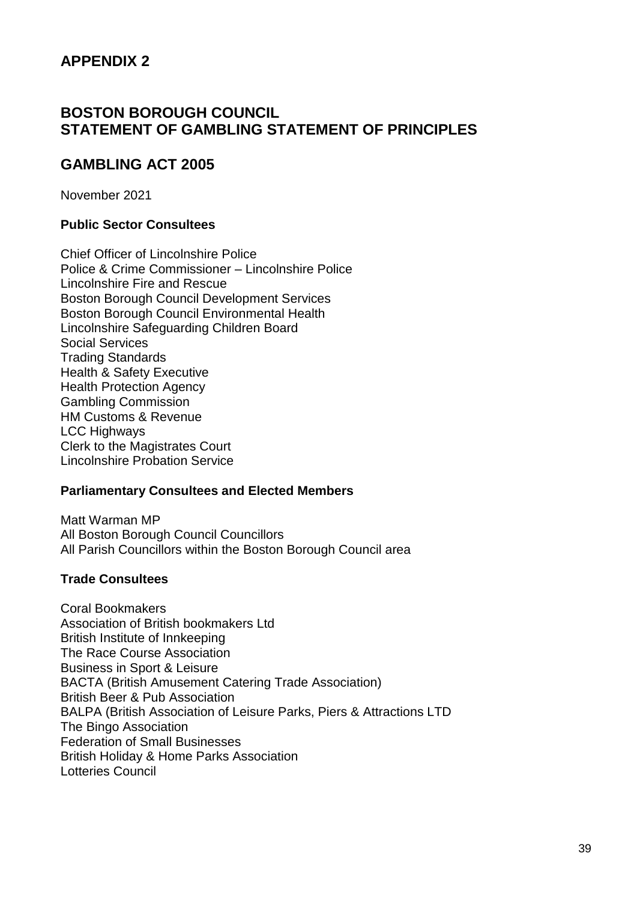### **BOSTON BOROUGH COUNCIL STATEMENT OF GAMBLING STATEMENT OF PRINCIPLES**

### **GAMBLING ACT 2005**

November 2021

#### **Public Sector Consultees**

Chief Officer of Lincolnshire Police Police & Crime Commissioner – Lincolnshire Police Lincolnshire Fire and Rescue Boston Borough Council Development Services Boston Borough Council Environmental Health Lincolnshire Safeguarding Children Board Social Services Trading Standards Health & Safety Executive Health Protection Agency Gambling Commission HM Customs & Revenue LCC Highways Clerk to the Magistrates Court Lincolnshire Probation Service

#### **Parliamentary Consultees and Elected Members**

Matt Warman MP All Boston Borough Council Councillors All Parish Councillors within the Boston Borough Council area

#### **Trade Consultees**

Coral Bookmakers Association of British bookmakers Ltd British Institute of Innkeeping The Race Course Association Business in Sport & Leisure BACTA (British Amusement Catering Trade Association) British Beer & Pub Association BALPA (British Association of Leisure Parks, Piers & Attractions LTD The Bingo Association Federation of Small Businesses British Holiday & Home Parks Association Lotteries Council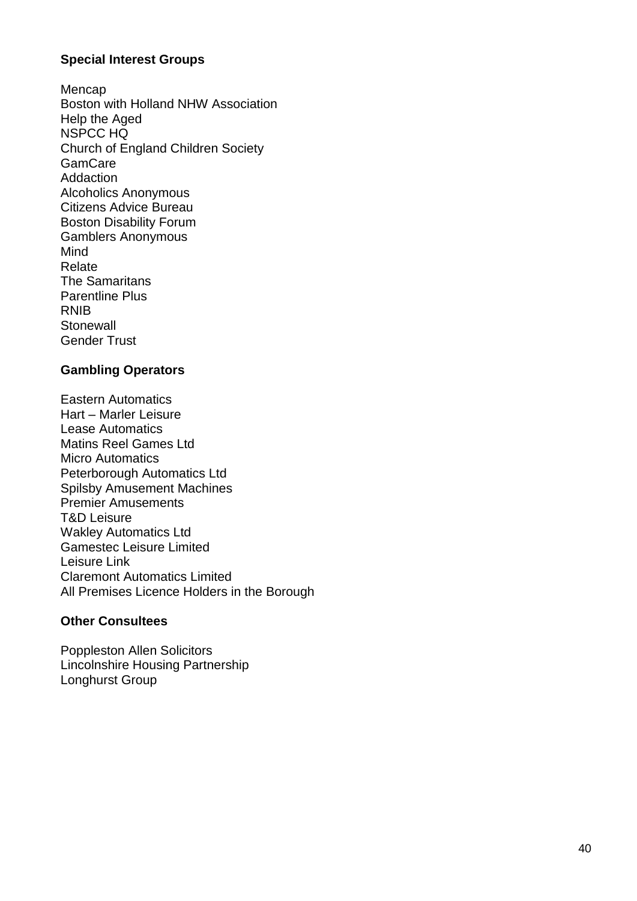#### **Special Interest Groups**

Mencap Boston with Holland NHW Association Help the Aged NSPCC HQ Church of England Children Society **GamCare Addaction** Alcoholics Anonymous Citizens Advice Bureau Boston Disability Forum Gamblers Anonymous Mind Relate The Samaritans Parentline Plus RNIB **Stonewall** Gender Trust

#### **Gambling Operators**

Eastern Automatics Hart – Marler Leisure Lease Automatics Matins Reel Games Ltd Micro Automatics Peterborough Automatics Ltd Spilsby Amusement Machines Premier Amusements T&D Leisure Wakley Automatics Ltd Gamestec Leisure Limited Leisure Link Claremont Automatics Limited All Premises Licence Holders in the Borough

#### **Other Consultees**

Poppleston Allen Solicitors Lincolnshire Housing Partnership Longhurst Group